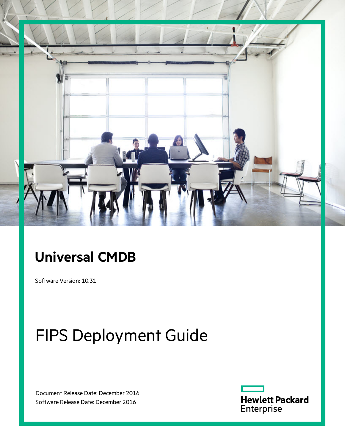

## **Universal CMDB**

Software Version: 10.31

# FIPS Deployment Guide

Document Release Date: December 2016 Software Release Date: December 2016

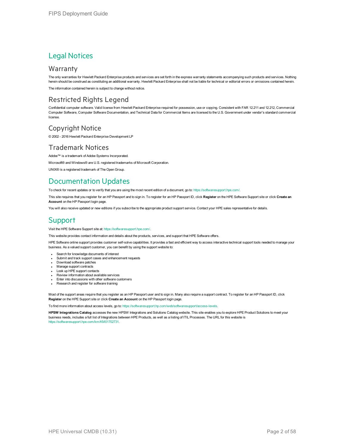### Legal Notices

#### **Warranty**

The only warranties for Hewlett Packard Enterprise products and services are set forth in the express warranty statements accompanying such products and services. Nothing herein should be construed as constituting an additional warranty. Hewlett Packard Enterprise shall not be liable for technical or editorial errors or omissions contained herein.

The information contained herein is subject to change without notice.

### Restricted Rights Legend

Confidential computer software. Valid license from Hewlett Packard Enterprise required for possession, use or copying. Consistent with FAR 12.211 and 12.212, Commercial Computer Software, Computer Software Documentation, and Technical Data for Commercial Items are licensed to the U.S. Government under vendor's standard commercial license.

### Copyright Notice

© 2002 - 2016 Hewlett Packard Enterprise Development LP

#### Trademark Notices

Adobe™ is a trademark of Adobe Systems Incorporated. Microsoft® and Windows® are U.S. registered trademarks of Microsoft Corporation. UNIX® is a registered trademark of The Open Group.

### Documentation Updates

To check for recent updates or to verify that you are using the most recent edition of a document, go to: <https://softwaresupport.hpe.com/>.

This site requires that you register for an HP Passport and to sign in. To register for an HP Passport ID, click **Register** on the HPE Software Support site or click **Create an Account** on the HP Passport login page.

You will also receive updated or new editions if you subscribe to the appropriate product support service. Contact your HPE sales representative for details.

### **Support**

Visit the HPE Software Support site at: <https://softwaresupport.hpe.com/>.

This website provides contact information and details about the products, services, and support that HPE Software offers.

HPE Software online support provides customer self-solve capabilities. It provides a fast and efficient way to access interactive technical support tools needed to manage your business. As a valued support customer, you can benefit by using the support website to:

- Search for knowledge documents of interest
- Submit and track support cases and enhancement requests
- Download software patches
- **Manage support contracts**
- Look up HPE support contacts
- **Review information about available services**
- Enter into discussions with other software customers
- Research and register for software training

Most of the support areas require that you register as an HP Passport user and to sign in. Many also require a support contract. To register for an HP Passport ID, click **Register** on the HPE Support site or click **Create an Account** on the HP Passport login page.

To find more information about access levels, go to: [https://softwaresupport.hp.com/web/softwaresupport/access-levels.](https://softwaresupport.hp.com/web/softwaresupport/access-levels)

**HPSW Integrations Catalog** accesses the new HPSW Integrations and Solutions Catalog website. This site enables you to explore HPE Product Solutions to meet your business needs, includes a full list of Integrations between HPE Products, as well as a listing of ITIL Processes. The URL for this website is [https://softwaresupport.hpe.com/km/KM01702731.](https://softwaresupport.hpe.com/km/KM01702731)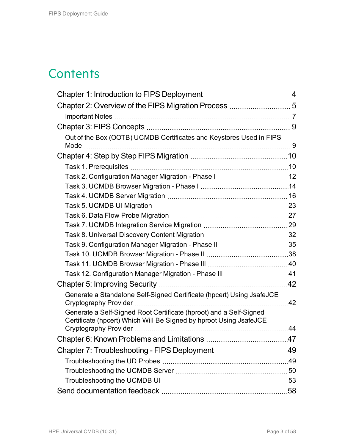## **Contents**

| Out of the Box (OOTB) UCMDB Certificates and Keystores Used in FIPS                                                                      |     |
|------------------------------------------------------------------------------------------------------------------------------------------|-----|
|                                                                                                                                          |     |
|                                                                                                                                          |     |
|                                                                                                                                          |     |
|                                                                                                                                          |     |
|                                                                                                                                          |     |
|                                                                                                                                          |     |
|                                                                                                                                          |     |
|                                                                                                                                          |     |
|                                                                                                                                          |     |
|                                                                                                                                          |     |
|                                                                                                                                          |     |
|                                                                                                                                          |     |
|                                                                                                                                          |     |
|                                                                                                                                          |     |
|                                                                                                                                          |     |
| Generate a Standalone Self-Signed Certificate (hpcert) Using JsafeJCE                                                                    | .42 |
| Generate a Self-Signed Root Certificate (hproot) and a Self-Signed<br>Certificate (hpcert) Which Will Be Signed by hproot Using JsafeJCE |     |
|                                                                                                                                          | 44  |
| Chapter 6: Known Problems and Limitations                                                                                                | 47  |
| Chapter 7: Troubleshooting - FIPS Deployment 49                                                                                          |     |
|                                                                                                                                          |     |
|                                                                                                                                          |     |
|                                                                                                                                          |     |
|                                                                                                                                          |     |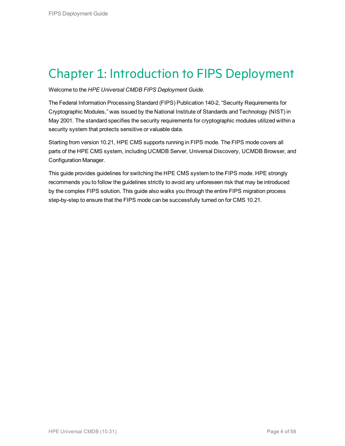## <span id="page-3-0"></span>Chapter 1: Introduction to FIPS Deployment

Welcome to the *HPE Universal CMDB FIPS Deployment Guide*.

The Federal Information Processing Standard (FIPS) Publication 140-2, "Security Requirements for Cryptographic Modules," was issued by the National Institute of Standards and Technology (NIST) in May 2001. The standard specifies the security requirements for cryptographic modules utilized within a security system that protects sensitive or valuable data.

Starting from version 10.21, HPE CMS supports running in FIPS mode. The FIPS mode covers all parts of the HPE CMS system, including UCMDB Server, Universal Discovery, UCMDB Browser, and Configuration Manager.

This guide provides guidelines for switching the HPE CMS system to the FIPS mode. HPE strongly recommends you to follow the guidelines strictly to avoid any unforeseen risk that may be introduced by the complex FIPS solution. This guide also walks you through the entire FIPS migration process step-by-step to ensure that the FIPS mode can be successfully turned on for CMS 10.21.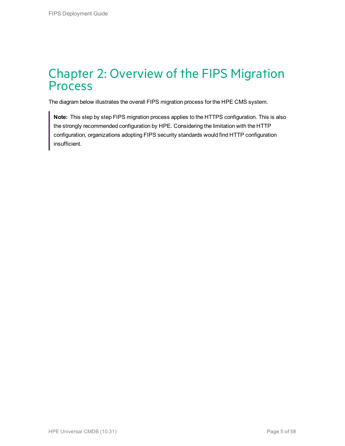### <span id="page-4-0"></span>Chapter 2: Overview of the FIPS Migration Process

The diagram below illustrates the overall FIPS migration process for the HPE CMS system.

**Note:** This step by step FIPS migration process applies to the HTTPS configuration. This is also the strongly recommended configuration by HPE. Considering the limitation with the HTTP configuration, organizations adopting FIPS security standards would find HTTP configuration insufficient.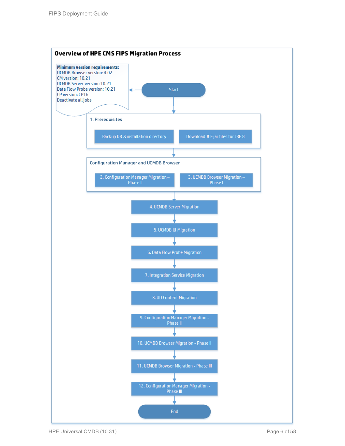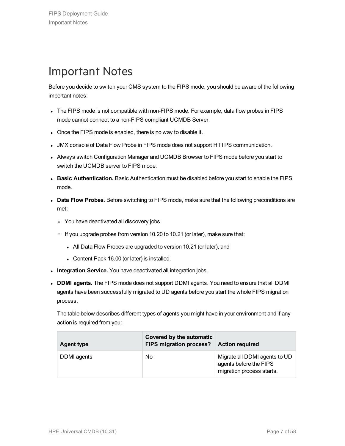## <span id="page-6-0"></span>Important Notes

Before you decide to switch your CMS system to the FIPS mode, you should be aware of the following important notes:

- The FIPS mode is not compatible with non-FIPS mode. For example, data flow probes in FIPS mode cannot connect to a non-FIPS compliant UCMDB Server.
- Once the FIPS mode is enabled, there is no way to disable it.
- JMX console of Data Flow Probe in FIPS mode does not support HTTPS communication.
- Always switch Configuration Manager and UCMDB Browser to FIPS mode before you start to switch the UCMDB server to FIPS mode.
- **Basic Authentication.** Basic Authentication must be disabled before you start to enable the FIPS mode.
- **Data Flow Probes.** Before switching to FIPS mode, make sure that the following preconditions are met:
	- <sup>o</sup> You have deactivated all discovery jobs.
	- $\circ$  If you upgrade probes from version 10.20 to 10.21 (or later), make sure that:
		- All Data Flow Probes are upgraded to version 10.21 (or later), and
		- Content Pack 16.00 (or later) is installed.
- **Integration Service.** You have deactivated all integration jobs.
- <sup>l</sup> **DDMI agents.** The FIPS mode does not support DDMI agents. You need to ensure that all DDMI agents have been successfully migrated to UD agents before you start the whole FIPS migration process.

The table below describes different types of agents you might have in your environment and if any action is required from you:

| <b>Agent type</b> | Covered by the automatic<br>FIPS migration process? | <b>Action required</b>                                                               |
|-------------------|-----------------------------------------------------|--------------------------------------------------------------------------------------|
| DDMI agents       | No                                                  | Migrate all DDMI agents to UD<br>agents before the FIPS<br>migration process starts. |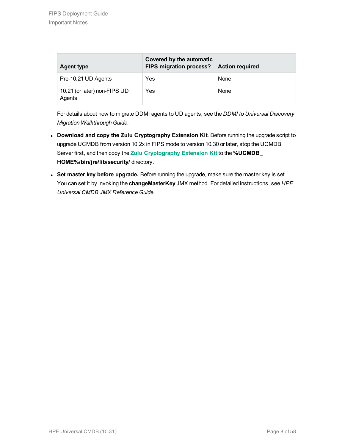| <b>Agent type</b>                      | Covered by the automatic<br>FIPS migration process?   Action required |      |
|----------------------------------------|-----------------------------------------------------------------------|------|
| Pre-10.21 UD Agents                    | Yes                                                                   | None |
| 10.21 (or later) non-FIPS UD<br>Agents | Yes                                                                   | None |

For details about how to migrate DDMI agents to UD agents, see the *DDMI to Universal Discovery Migration Walkthrough Guide*.

- <sup>l</sup> **Download and copy the Zulu Cryptography Extension Kit**. Before running the upgrade script to upgrade UCMDB from version 10.2x in FIPS mode to version 10.30 or later, stop the UCMDB Server first, and then copy the **Zulu [Cryptography](http://www.azulsystems.com/sites/default/files//images/ZuluJCEPolicies.zip) Extension Kit** to the **%UCMDB\_ HOME%/bin/jre/lib/security/** directory.
- <sup>l</sup> **Set master key before upgrade.** Before running the upgrade, make sure the master key is set. You can set it by invoking the **changeMasterKey** JMX method. For detailed instructions, see *HPE Universal CMDB JMX Reference Guide*.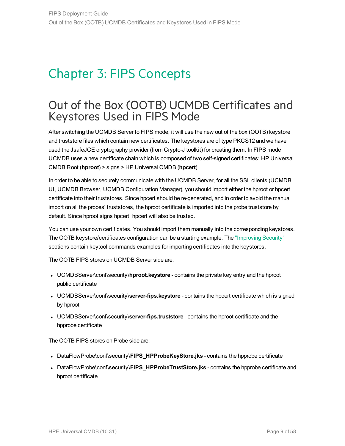## <span id="page-8-0"></span>Chapter 3: FIPS Concepts

### <span id="page-8-1"></span>Out of the Box (OOTB) UCMDB Certificates and Keystores Used in FIPS Mode

After switching the UCMDB Server to FIPS mode, it will use the new out of the box (OOTB) keystore and truststore files which contain new certificates. The keystores are of type PKCS12 and we have used the JsafeJCE cryptography provider (from Crypto-J toolkit) for creating them. In FIPS mode UCMDB uses a new certificate chain which is composed of two self-signed certificates: HP Universal CMDB Root (**hproot**) > signs > HP Universal CMDB (**hpcert**).

In order to be able to securely communicate with the UCMDB Server, for all the SSL clients (UCMDB UI, UCMDB Browser, UCMDB Configuration Manager), you should import either the hproot or hpcert certificate into their truststores. Since hpcert should be re-generated, and in order to avoid the manual import on all the probes' truststores, the hproot certificate is imported into the probe truststore by default. Since hproot signs hpcert, hpcert will also be trusted.

You can use your own certificates. You should import them manually into the corresponding keystores. The OOTB keystore/certificates configuration can be a starting example. The ["Improving](#page-41-0) Security" sections contain keytool commands examples for importing certificates into the keystores.

The OOTB FIPS stores on UCMDB Server side are:

- UCMDBServer\conf\security\hproot.keystore contains the private key entry and the hproot public certificate
- UCMDBServer\conf\security\server-fips.keystore contains the hpcert certificate which is signed by hproot
- **UCMDBServer\conf\security\server-fips.truststore** contains the hproot certificate and the hpprobe certificate

The OOTB FIPS stores on Probe side are:

- DataFlowProbe\conf\security\FIPS\_HPProbeKeyStore.jks contains the hpprobe certificate
- <sup>l</sup> DataFlowProbe\conf\security\**FIPS\_HPProbeTrustStore.jks** contains the hpprobe certificate and hproot certificate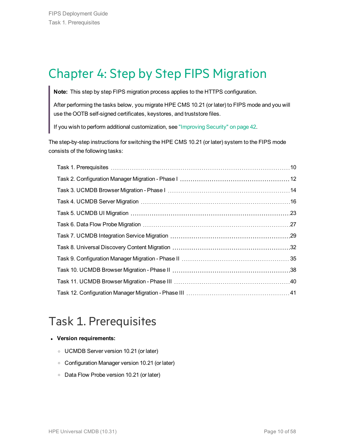## <span id="page-9-0"></span>Chapter 4: Step by Step FIPS Migration

**Note:** This step by step FIPS migration process applies to the HTTPS configuration.

After performing the tasks below, you migrate HPE CMS 10.21 (or later) to FIPS mode and you will use the OOTB self-signed certificates, keystores, and truststore files.

If you wish to perform additional customization, see ["Improving](#page-41-0) Security" on page 42.

The step-by-step instructions for switching the HPE CMS 10.21 (or later) system to the FIPS mode consists of the following tasks:

## <span id="page-9-1"></span>Task 1. Prerequisites

#### <sup>l</sup> **Version requirements:**

- <sup>o</sup> UCMDB Server version 10.21 (or later)
- <sup>o</sup> Configuration Manager version 10.21 (or later)
- <sup>o</sup> Data Flow Probe version 10.21 (or later)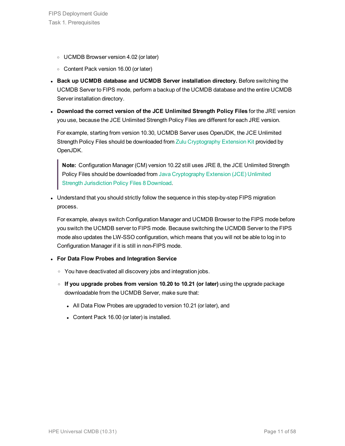- <sup>o</sup> UCMDB Browser version 4.02 (or later)
- <sup>o</sup> Content Pack version 16.00 (or later)
- <sup>l</sup> **Back up UCMDB database and UCMDB Server installation directory.** Before switching the UCMDB Server to FIPS mode, perform a backup of the UCMDB database and the entire UCMDB Server installation directory.
- <sup>l</sup> **Download the correct version of the JCE Unlimited Strength Policy Files** for the JRE version you use, because the JCE Unlimited Strength Policy Files are different for each JRE version.

For example, starting from version 10.30, UCMDB Server uses OpenJDK, the JCE Unlimited Strength Policy Files should be downloaded from Zulu [Cryptography](http://www.azulsystems.com/sites/default/files//images/ZuluJCEPolicies.zip) Extension Kit provided by OpenJDK.

**Note:** Configuration Manager (CM) version 10.22 still uses JRE 8, the JCE Unlimited Strength Policy Files should be downloaded from Java [Cryptography](http://www.oracle.com/technetwork/java/javase/downloads/jce8-download-2133166.html) Extension (JCE) Unlimited Strength [Jurisdiction](http://www.oracle.com/technetwork/java/javase/downloads/jce8-download-2133166.html) Policy Files 8 Download.

• Understand that you should strictly follow the sequence in this step-by-step FIPS migration process.

For example, always switch Configuration Manager and UCMDB Browser to the FIPS mode before you switch the UCMDB server to FIPS mode. Because switching the UCMDB Server to the FIPS mode also updates the LW-SSO configuration, which means that you will not be able to log in to Configuration Manager if it is still in non-FIPS mode.

- <sup>l</sup> **For Data Flow Probes and Integration Service**
	- $\circ$  You have deactivated all discovery jobs and integration jobs.
	- <sup>o</sup> **If you upgrade probes from version 10.20 to 10.21 (or later)** using the upgrade package downloadable from the UCMDB Server, make sure that:
		- All Data Flow Probes are upgraded to version 10.21 (or later), and
		- Content Pack 16.00 (or later) is installed.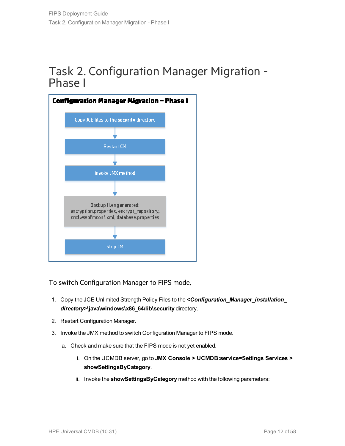### <span id="page-11-0"></span>Task 2. Configuration Manager Migration - Phase I



To switch Configuration Manager to FIPS mode,

- 1. Copy the JCE Unlimited Strength Policy Files to the **<***Configuration\_Manager\_installation\_ directory***>\java\windows\x86\_64\lib\security** directory.
- 2. Restart Configuration Manager.
- 3. Invoke the JMX method to switch Configuration Manager to FIPS mode.
	- a. Check and make sure that the FIPS mode is not yet enabled.
		- i. On the UCMDB server, go to **JMX Console > UCMDB:service=Settings Services > showSettingsByCategory**.
		- ii. Invoke the **showSettingsByCategory** method with the following parameters: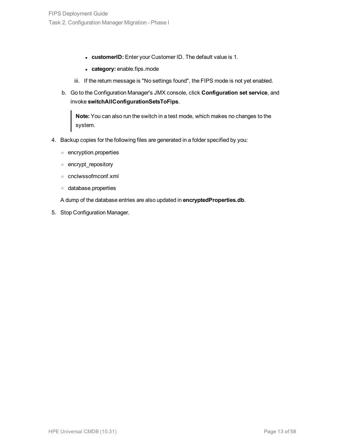- **.** customerID: Enter your Customer ID. The default value is 1.
- category: enable.fips.mode
- iii. If the return message is "No settings found", the FIPS mode is not yet enabled.
- b. Go to the Configuration Manager's JMX console, click **Configuration set service**, and invoke **switchAllConfigurationSetsToFips**.

**Note:** You can also run the switch in a test mode, which makes no changes to the system.

- 4. Backup copies for the following files are generated in a folder specified by you:
	- <sup>o</sup> encryption.properties
	- <sup>o</sup> encrypt\_repository
	- <sup>o</sup> cnclwssofmconf.xml
	- <sup>o</sup> database.properties

A dump of the database entries are also updated in **encryptedProperties.db**.

5. Stop Configuration Manager.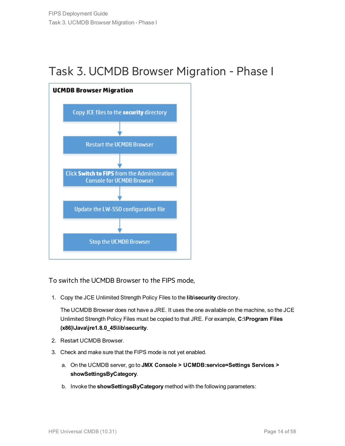### <span id="page-13-0"></span>Task 3. UCMDB Browser Migration - Phase I



To switch the UCMDB Browser to the FIPS mode,

1. Copy the JCE Unlimited Strength Policy Files to the **lib\security** directory.

The UCMDB Browser does not have a JRE. It uses the one available on the machine, so the JCE Unlimited Strength Policy Files must be copied to that JRE. For example, **C:\Program Files (x86)\Java\jre1.8.0\_45\lib\security**.

- 2. Restart UCMDB Browser.
- 3. Check and make sure that the FIPS mode is not yet enabled.
	- a. On the UCMDB server, go to **JMX Console > UCMDB:service=Settings Services > showSettingsByCategory**.
	- b. Invoke the **showSettingsByCategory** method with the following parameters: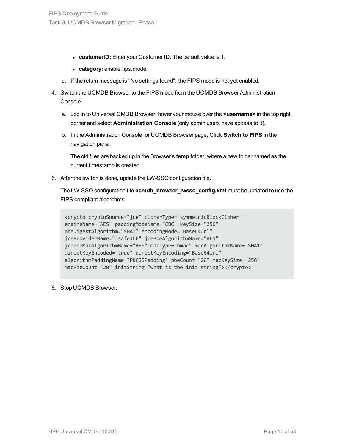- **customerID:** Enter your Customer ID. The default value is 1.
- category: enable.fips.mode
- c. If the return message is "No settings found", the FIPS mode is not yet enabled.
- 4. Switch the UCMDB Browser to the FIPS mode from the UCMDB Browser Administration Console.
	- a. Log in to Universal CMDB Browser, hover your mouse over the **<username>** in the top right corner and select **Administration Console** (only admin users have access to it).
	- b. In the Administration Console for UCMDB Browser page, Click **Switch to FIPS** in the navigation pane.

The old files are backed up in the Browser's **temp** folder, where a new folder named as the current timestamp is created.

5. After the switch is done, update the LW-SSO configuration file.

The LW-SSO configuration file **ucmdb\_browser\_lwsso\_config.xml** must be updated to use the FIPS compliant algorithms.

```
<crypto cryptoSource="jce" cipherType="symmetricBlockCipher"
engineName="AES" paddingModeName="CBC" keySize="256"
pbeDigestAlgorithm="SHA1" encodingMode="Base64Url"
jceProviderName="JsafeJCE" jcePbeAlgorithmName="AES"
jcePbeMacAlgorithmName="AES" macType="hmac" macAlgorithmName="SHA1"
directKeyEncoded="true" directKeyEncoding="Base64Url"
algorithmPaddingName="PKCS5Padding" pbeCount="20" macKeySize="256"
macPbeCount="20" initString="what is the init string"></crypto>
```
6. Stop UCMDB Browser.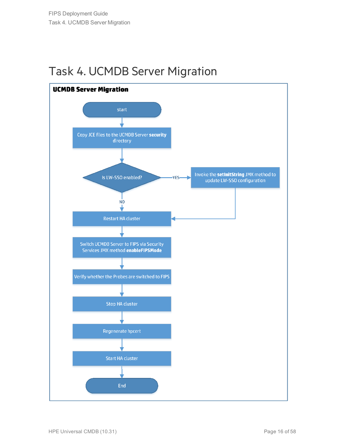### <span id="page-15-0"></span>Task 4. UCMDB Server Migration

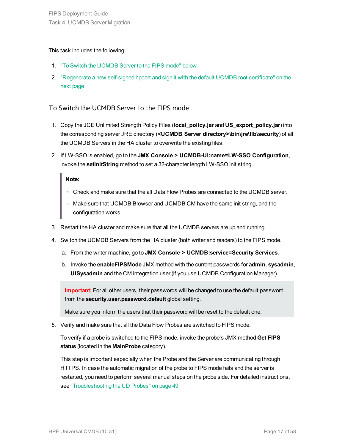#### This task includes the following:

- 1. "To Switch the [UCMDB](#page-16-0) Server to the FIPS mode" below
- 2. ["Regenerate](#page-17-0) a new self-signed hpcert and sign it with the default UCMDB root certificate" on the next [page](#page-17-0)

#### <span id="page-16-0"></span>To Switch the UCMDB Server to the FIPS mode

- 1. Copy the JCE Unlimited Strength Policy Files (**local\_policy.jar** and **US\_export\_policy.jar**) into the corresponding server JRE directory (**<UCMDB Server directory>\bin\jre\lib\security**) of all the UCMDB Servers in the HA cluster to overwrite the existing files.
- 2. If LW-SSO is enabled, go to the **JMX Console > UCMDB-UI:name=LW-SSO Configuration**, invoke the **setInitString** method to set a 32-character length LW-SSO init string.

#### **Note:**

- o Check and make sure that the all Data Flow Probes are connected to the UCMDB server.
- o Make sure that UCMDB Browser and UCMDB CM have the same init string, and the configuration works.
- 3. Restart the HA cluster and make sure that all the UCMDB servers are up and running.
- 4. Switch the UCMDB Servers from the HA cluster (both writer and readers) to the FIPS mode.
	- a. From the writer machine, go to **JMX Console > UCMDB:service=Security Services**.
	- b. Invoke the **enableFIPSMode** JMX method with the current passwords for **admin**, **sysadmin**, **UISysadmin** and the CM integration user (if you use UCMDB Configuration Manager).

**Important:** For all other users, their passwords will be changed to use the default password from the **security.user.password.default** global setting.

Make sure you inform the users that their password will be reset to the default one.

5. Verify and make sure that all the Data Flow Probes are switched to FIPS mode.

To verify if a probe is switched to the FIPS mode, invoke the probe's JMX method **Get FIPS status** (located in the **MainProbe** category).

This step is important especially when the Probe and the Server are communicating through HTTPS. In case the automatic migration of the probe to FIPS mode fails and the server is restarted, you need to perform several manual steps on the probe side. For detailed instructions, see ["Troubleshooting](#page-48-1) the UD Probes" on page 49.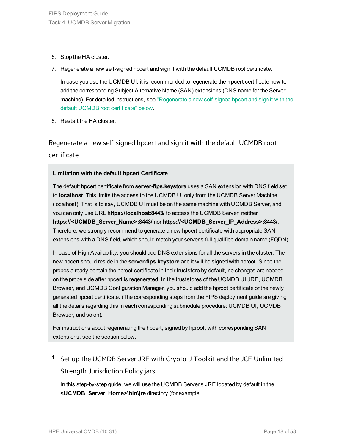- 6. Stop the HA cluster.
- 7. Regenerate a new self-signed hpcert and sign it with the default UCMDB root certificate.

In case you use the UCMDB UI, it is recommended to regenerate the **hpcert** certificate now to add the corresponding Subject Alternative Name (SAN) extensions (DNS name for the Server machine). For detailed instructions, see ["Regenerate](#page-17-0) a new self-signed hpcert and sign it with the default UCMDB root [certificate"](#page-17-0) below.

<span id="page-17-0"></span>8. Restart the HA cluster.

Regenerate a new self-signed hpcert and sign it with the default UCMDB root certificate

#### **Limitation with the default hpcert Certificate**

The default hpcert certificate from **server-fips.keystore** uses a SAN extension with DNS field set to **localhost**. This limits the access to the UCMDB UI only from the UCMDB Server Machine (localhost). That is to say, UCMDB UI must be on the same machine with UCMDB Server, and you can only use URL **https://localhost:8443/** to access the UCMDB Server, neither **https://<UCMDB\_Server\_Name>:8443/** nor **https://<UCMDB\_Server\_IP\_Address>:8443/**. Therefore, we strongly recommend to generate a new hpcert certificate with appropriate SAN extensions with a DNS field, which should match your server's full qualified domain name (FQDN).

In case of High Availability, you should add DNS extensions for all the servers in the cluster. The new hpcert should reside in the **server-fips.keystore** and it will be signed with hproot. Since the probes already contain the hproot certificate in their truststore by default, no changes are needed on the probe side after hpcert is regenerated. In the truststores of the UCMDB UI JRE, UCMDB Browser, and UCMDB Configuration Manager, you should add the hproot certificate or the newly generated hpcert certificate. (The corresponding steps from the FIPS deployment guide are giving all the details regarding this in each corresponding submodule procedure: UCMDB UI, UCMDB Browser, and so on).

For instructions about regenerating the hpcert, signed by hproot, with corresponding SAN extensions, see the section below.

<span id="page-17-1"></span><sup>1.</sup> Set up the UCMDB Server JRE with Crypto-J Toolkit and the JCE Unlimited Strength Jurisdiction Policy jars

In this step-by-step guide, we will use the UCMDB Server's JRE located by default in the **<UCMDB\_Server\_Home>\bin\jre** directory (for example,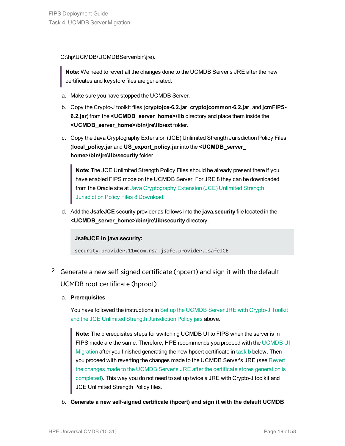C:\hp\UCMDB\UCMDBServer\bin\jre).

**Note:** We need to revert all the changes done to the UCMDB Server's JRE after the new certificates and keystore files are generated.

- a. Make sure you have stopped the UCMDB Server.
- b. Copy the Crypto-J toolkit files (**cryptojce-6.2.jar**, **cryptojcommon-6.2.jar**, and **jcmFIPS-6.2.jar**) from the **<UCMDB\_server\_home>\lib** directory and place them inside the **<UCMDB\_server\_home>\bin\jre\lib\ext** folder.
- c. Copy the Java Cryptography Extension (JCE) Unlimited Strength Jurisdiction Policy Files (**local\_policy.jar** and **US\_export\_policy.jar** into the **<UCMDB\_server\_ home>\bin\jre\lib\security** folder.

**Note:** The JCE Unlimited Strength Policy Files should be already present there if you have enabled FIPS mode on the UCMDB Server. For JRE 8 they can be downloaded from the Oracle site at Java [Cryptography](http://www.oracle.com/technetwork/java/javase/downloads/jce8-download-2133166.html) Extension (JCE) Unlimited Strength [Jurisdiction](http://www.oracle.com/technetwork/java/javase/downloads/jce8-download-2133166.html) Policy Files 8 Download.

d. Add the **JsafeJCE** security provider as follows into the **java.security** file located in the **<UCMDB\_server\_home>\bin\jre\lib\security** directory.

**JsafeJCE in java.security:**

<span id="page-18-1"></span>security.provider.11=com.rsa.jsafe.provider.JsafeJCE

- 2. Generate a new self-signed certificate (hpcert) and sign it with the default UCMDB root certificate (hproot)
	- a. **Prerequisites**

You have followed the instructions in Set up the [UCMDB](#page-17-1) Server JRE with Crypto-J Toolkit and the JCE Unlimited Strength [Jurisdiction](#page-17-1) Policy jars above.

**Note:** The prerequisites steps for switching UCMDB UI to FIPS when the server is in FIPS mode are the same. Therefore, HPE recommends you proceed with the [UCMDB](#page-22-0) UI [Migration](#page-22-0) after you finished generating the new hpcert certificate in [task](#page-18-0) b below. Then you proceed with reverting the changes made to the UCMDB Server's JRE (see [Revert](#page-21-0) the changes made to the UCMDB Server's JRE after the certificate stores [generation](#page-21-0) is [completed](#page-21-0)). This way you do not need to set up twice a JRE with Crypto-J toolkit and JCE Unlimited Strength Policy files.

<span id="page-18-0"></span>b. **Generate a new self-signed certificate (hpcert) and sign it with the default UCMDB**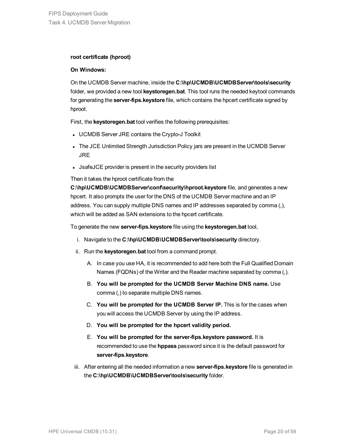#### **root certificate (hproot)**

#### **On Windows:**

On the UCMDB Server machine, inside the **C:\hp\UCMDB\UCMDBServer\tools\security** folder, we provided a new tool **keystoregen.bat**. This tool runs the needed keytool commands for generating the **server-fips.keystore** file, which contains the hpcert certificate signed by hproot.

First, the **keystoregen.bat** tool verifies the following prerequisites:

- UCMDB Server JRE contains the Crypto-J Toolkit
- The JCE Unlimited Strength Jurisdiction Policy jars are present in the UCMDB Server JRE
- JsafeJCE provider is present in the security providers list

Then it takes the hproot certificate from the

**C:\hp\UCMDB\UCMDBServer\conf\security\hproot.keystore** file, and generates a new hpcert. It also prompts the user for the DNS of the UCMDB Server machine and an IP address. You can supply multiple DNS names and IP addresses separated by comma (,), which will be added as SAN extensions to the hpcert certificate.

To generate the new **server-fips.keystore** file using the **keystoregen.bat** tool,

- i. Navigate to the **C:\hp\UCMDB\UCMDBServer\tools\security** directory.
- ii. Run the **keystoregen.bat** tool from a command prompt.
	- A. In case you use HA, it is recommended to add here both the Full Qualified Domain Names (FQDNs) of the Writer and the Reader machine separated by comma (,).
	- B. **You will be prompted for the UCMDB Server Machine DNS name.** Use comma (,) to separate multiple DNS names.
	- C. **You will be prompted for the UCMDB Server IP.** This is for the cases when you will access the UCMDB Server by using the IP address.
	- D. **You will be prompted for the hpcert validity period.**
	- E. **You will be prompted for the server-fips.keystore password.** It is recommended to use the **hppass** password since it is the default password for **server-fips.keystore**.
- iii. After entering all the needed information a new **server-fips.keystore** file is generated in the **C:\hp\UCMDB\UCMDBServer\tools\security** folder.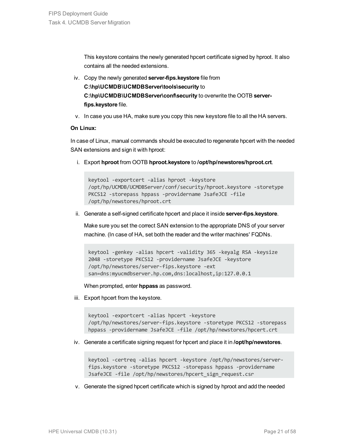This keystore contains the newly generated hpcert certificate signed by hproot. It also contains all the needed extensions.

- iv. Copy the newly generated **server-fips.keystore** file from **C:\hp\UCMDB\UCMDBServer\tools\security** to **C:\hp\UCMDB\UCMDBServer\conf\security** to overwrite the OOTB **serverfips.keystore** file.
- v. In case you use HA, make sure you copy this new keystore file to all the HA servers.

#### **On Linux:**

In case of Linux, manual commands should be executed to regenerate hpcert with the needed SAN extensions and sign it with hproot:

i. Export **hproot** from OOTB **hproot.keystore** to **/opt/hp/newstores/hproot.crt**.

```
keytool -exportcert -alias hproot -keystore
/opt/hp/UCMDB/UCMDBServer/conf/security/hproot.keystore -storetype
PKCS12 -storepass hppass -providername JsafeJCE -file
/opt/hp/newstores/hproot.crt
```
ii. Generate a self-signed certificate hpcert and place it inside **server-fips.keystore**.

Make sure you set the correct SAN extension to the appropriate DNS of your server machine. (In case of HA, set both the reader and the writer machines' FQDNs.

keytool -genkey -alias hpcert -validity 365 -keyalg RSA -keysize 2048 -storetype PKCS12 -providername JsafeJCE -keystore /opt/hp/newstores/server-fips.keystore -ext san=dns:myucmdbserver.hp.com,dns:localhost,ip:127.0.0.1

When prompted, enter **hppass** as password.

iii. Export hpcert from the keystore.

keytool -exportcert -alias hpcert -keystore /opt/hp/newstores/server-fips.keystore -storetype PKCS12 -storepass hppass -providername JsafeJCE -file /opt/hp/newstores/hpcert.crt

iv. Generate a certificate signing request for hpcert and place it in **/opt/hp/newstores**.

keytool -certreq -alias hpcert -keystore /opt/hp/newstores/serverfips.keystore -storetype PKCS12 -storepass hppass -providername JsafeJCE -file /opt/hp/newstores/hpcert\_sign\_request.csr

v. Generate the signed hpcert certificate which is signed by hproot and add the needed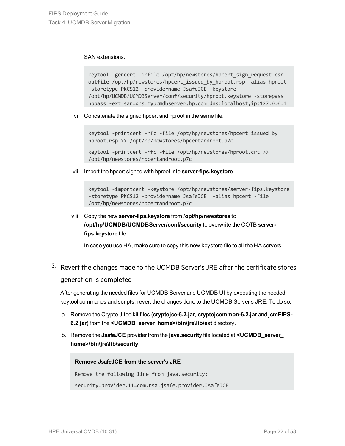SAN extensions.

```
keytool -gencert -infile /opt/hp/newstores/hpcert sign request.csr -
outfile /opt/hp/newstores/hpcert_issued_by_hproot.rsp -alias hproot
-storetype PKCS12 -providername JsafeJCE -keystore
/opt/hp/UCMDB/UCMDBServer/conf/security/hproot.keystore -storepass
hppass -ext san=dns:myucmdbserver.hp.com,dns:localhost,ip:127.0.0.1
```
vi. Concatenate the signed hpcert and hproot in the same file.

keytool -printcert -rfc -file /opt/hp/newstores/hpcert issued by hproot.rsp >> /opt/hp/newstores/hpcertandroot.p7c

keytool -printcert -rfc -file /opt/hp/newstores/hproot.crt >> /opt/hp/newstores/hpcertandroot.p7c

vii. Import the hpcert signed with hproot into **server-fips.keystore**.

keytool -importcert -keystore /opt/hp/newstores/server-fips.keystore -storetype PKCS12 -providername JsafeJCE -alias hpcert -file /opt/hp/newstores/hpcertandroot.p7c

### viii. Copy the new **server-fips.keystore** from **/opt/hp/newstores** to **/opt/hp/UCMDB/UCMDBServer/conf/security** to overwrite the OOTB **serverfips.keystore** file.

<span id="page-21-1"></span>In case you use HA, make sure to copy this new keystore file to all the HA servers.

### <span id="page-21-0"></span><sup>3.</sup> Revert the changes made to the UCMDB Server's JRE after the certificate stores generation is completed

After generating the needed files for UCMDB Server and UCMDB UI by executing the needed keytool commands and scripts, revert the changes done to the UCMDB Server's JRE. To do so,

- a. Remove the Crypto-J toolkit files (**cryptojce-6.2.jar**, **cryptojcommon-6.2.jar** and **jcmFIPS-6.2.jar**) from the **<UCMDB\_server\_home>\bin\jre\lib\ext** directory.
- b. Remove the **JsafeJCE** provider from the **java.security** file located at **<UCMDB\_server\_ home>\bin\jre\lib\security**.

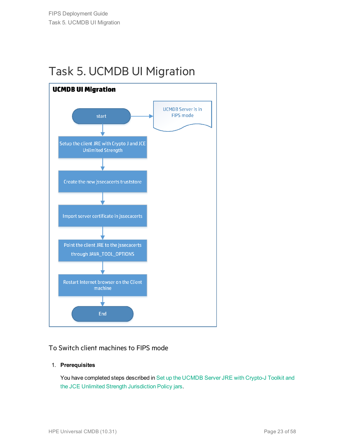## <span id="page-22-0"></span>Task 5. UCMDB UI Migration



### To Switch client machines to FIPS mode

#### 1. **Prerequisites**

You have completed steps described in Set up the [UCMDB](#page-17-1) Server JRE with Crypto-J Toolkit and the JCE Unlimited Strength [Jurisdiction](#page-17-1) Policy jars.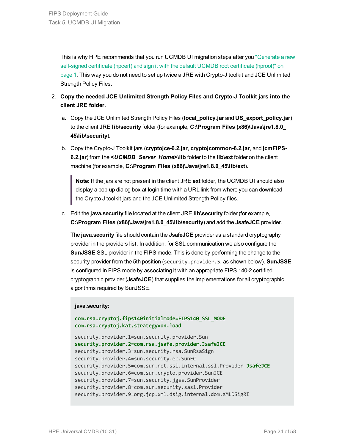This is why HPE recommends that you run UCMDB UI migration steps after you ["Generate](#page-18-1) a new [self-signed](#page-18-1) certificate (hpcert) and sign it with the default UCMDB root certificate (hproot)" on [page 1.](#page-18-1) This way you do not need to set up twice a JRE with Crypto-J toolkit and JCE Unlimited Strength Policy Files.

- 2. **Copy the needed JCE Unlimited Strength Policy Files and Crypto-J Toolkit jars into the client JRE folder.**
	- a. Copy the JCE Unlimited Strength Policy Files (**local\_policy.jar** and **US\_export\_policy.jar**) to the client JRE **lib\security** folder (for example, **C:\Program Files (x86)\Java\jre1.8.0\_ 45\lib\security**).
	- b. Copy the Crypto-J Toolkit jars (**cryptojce-6.2.jar**, **cryptojcommon-6.2.jar**, and **jcmFIPS-6.2.jar**) from the **<***UCMDB\_Server\_Home***>\lib** folder to the **lib\ext** folder on the client machine (for example, **C:\Program Files (x86)\Java\jre1.8.0\_45\lib\ext**).

**Note:** If the jars are not present in the client JRE **ext** folder, the UCMDB UI should also display a pop-up dialog box at login time with a URL link from where you can download the Crypto J toolkit jars and the JCE Unlimited Strength Policy files.

c. Edit the **java.security** file located at the client JRE **lib\security** folder (for example, **C:\Program Files (x86)\Java\jre1.8.0\_45\lib\security**) and add the **JsafeJCE** provider.

The **java.security** file should contain the **JsafeJCE** provider as a standard cryptography provider in the providers list. In addition, for SSL communication we also configure the **SunJSSE** SSL provider in the FIPS mode. This is done by performing the change to the security provider from the 5th position (security.provider.5, as shown below). **SunJSSE** is configured in FIPS mode by associating it with an appropriate FIPS 140-2 certified cryptographic provider (**JsafeJCE**) that supplies the implementations for all cryptographic algorithms required by SunJSSE.

#### **java.security:**

```
com.rsa.cryptoj.fips140initialmode=FIPS140_SSL_MODE
com.rsa.cryptoj.kat.strategy=on.load
```
security.provider.1=sun.security.provider.Sun **security.provider.2=com.rsa.jsafe.provider.JsafeJCE** security.provider.3=sun.security.rsa.SunRsaSign security.provider.4=sun.security.ec.SunEC security.provider.5=com.sun.net.ssl.internal.ssl.Provider **JsafeJCE** security.provider.6=com.sun.crypto.provider.SunJCE security.provider.7=sun.security.jgss.SunProvider security.provider.8=com.sun.security.sasl.Provider security.provider.9=org.jcp.xml.dsig.internal.dom.XMLDSigRI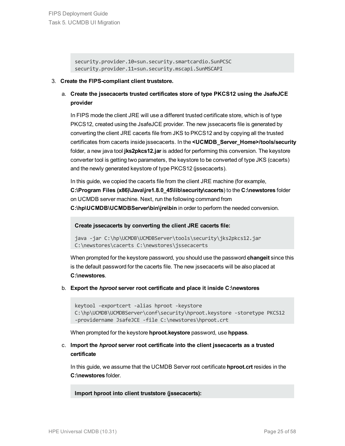security.provider.10=sun.security.smartcardio.SunPCSC security.provider.11=sun.security.mscapi.SunMSCAPI

#### 3. **Create the FIPS-compliant client truststore.**

a. **Create the jssecacerts trusted certificates store of type PKCS12 using the JsafeJCE provider**

In FIPS mode the client JRE will use a different trusted certificate store, which is of type PKCS12, created using the JsafeJCE provider. The new jssecacerts file is generated by converting the client JRE cacerts file from JKS to PKCS12 and by copying all the trusted certificates from cacerts inside jssecacerts. In the **<UCMDB\_Server\_Home>/tools/security** folder, a new java tool **jks2pkcs12.jar** is added for performing this conversion. The keystore converter tool is getting two parameters, the keystore to be converted of type JKS (cacerts) and the newly generated keystore of type PKCS12 (jssecacerts).

In this guide, we copied the cacerts file from the client JRE machine (for example, **C:\Program Files (x86)\Java\jre1.8.0\_45\lib\security\cacerts**) to the **C:\newstores** folder on UCMDB server machine. Next, run the following command from **C:\hp\UCMDB\UCMDBServer\bin\jre\bin** in order to perform the needed conversion.

#### **Create jssecacerts by converting the client JRE cacerts file:**

```
java -jar C:\hp\UCMDB\UCMDBServer\tools\security\jks2pkcs12.jar
C:\newstores\cacerts C:\newstores\jssecacerts
```
When prompted for the keystore password, you should use the password **changeit** since this is the default password for the cacerts file. The new jssecacerts will be also placed at **C:\newstores**.

#### b. **Export the** *hproot* **server root certificate and place it inside C:\newstores**

```
keytool -exportcert -alias hproot -keystore
C:\hp\UCMDB\UCMDBServer\conf\security\hproot.keystore -storetype PKCS12
-providername JsafeJCE -file C:\newstores\hproot.crt
```
When prompted for the keystore **hproot.keystore** password, use **hppass**.

#### c. **Import the** *hproot* **server root certificate into the client jssecacerts as a trusted certificate**

In this guide, we assume that the UCMDB Server root certificate **hproot.crt** resides in the **C:\newstores** folder.

**Import hproot into client truststore (jssecacerts):**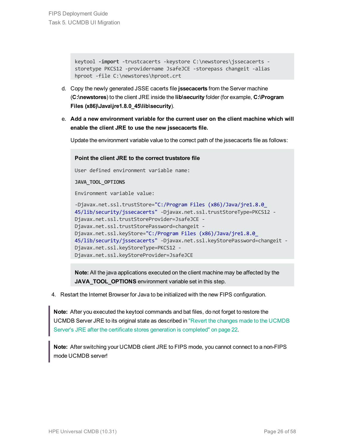```
keytool -import -trustcacerts -keystore C:\newstores\jssecacerts -
storetype PKCS12 -providername JsafeJCE -storepass changeit -alias
hproot -file C:\newstores\hproot.crt
```
- d. Copy the newly generated JSSE cacerts file **jssecacerts** from the Server machine (**C:\newstores**) to the client JRE inside the **lib\security** folder (for example, **C:\Program Files (x86)\Java\jre1.8.0\_45\lib\security**).
- e. **Add a new environment variable for the current user on the client machine which will enable the client JRE to use the new jssecacerts file.**

Update the environment variable value to the correct path of the jssecacerts file as follows:

```
Point the client JRE to the correct truststore file
User defined environment variable name:
JAVA_TOOL_OPTIONS
Environment variable value:
-Djavax.net.ssl.trustStore="C:/Program Files (x86)/Java/jre1.8.0_
45/lib/security/jssecacerts" -Djavax.net.ssl.trustStoreType=PKCS12 -
Djavax.net.ssl.trustStoreProvider=JsafeJCE -
Djavax.net.ssl.trustStorePassword=changeit -
Djavax.net.ssl.keyStore="C:/Program Files (x86)/Java/jre1.8.0_
45/lib/security/jssecacerts" -Djavax.net.ssl.keyStorePassword=changeit -
Djavax.net.ssl.keyStoreType=PKCS12 -
Djavax.net.ssl.keyStoreProvider=JsafeJCE
```
**Note:** All the java applications executed on the client machine may be affected by the **JAVA\_TOOL\_OPTIONS** environment variable set in this step.

4. Restart the Internet Browser for Java to be initialized with the new FIPS configuration.

**Note:** After you executed the keytool commands and bat files, do not forget to restore the UCMDB Server JRE to its original state as described in "Revert the changes made to the [UCMDB](#page-21-1) Server's JRE after the certificate stores generation is [completed"](#page-21-1) on page 22.

**Note:** After switching your UCMDB client JRE to FIPS mode, you cannot connect to a non-FIPS mode UCMDB server!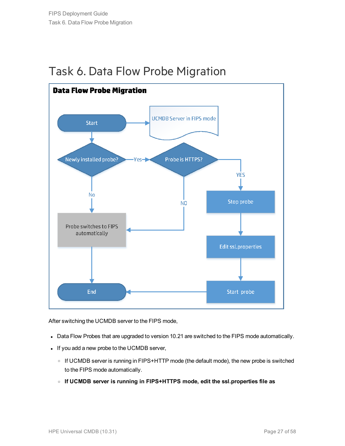

### <span id="page-26-0"></span>Task 6. Data Flow Probe Migration

After switching the UCMDB server to the FIPS mode,

- Data Flow Probes that are upgraded to version 10.21 are switched to the FIPS mode automatically.
- If you add a new probe to the UCMDB server,
	- o If UCMDB server is running in FIPS+HTTP mode (the default mode), the new probe is switched to the FIPS mode automatically.
	- <sup>o</sup> **If UCMDB server is running in FIPS+HTTPS mode, edit the ssl.properties file as**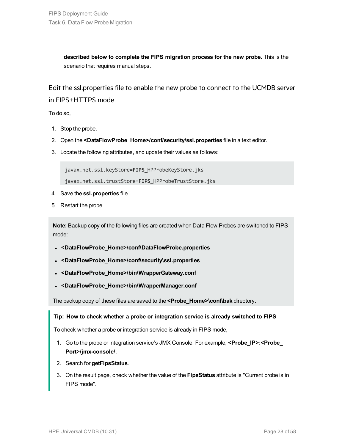**described below to complete the FIPS migration process for the new probe.** This is the scenario that requires manual steps.

Edit the ssl.properties file to enable the new probe to connect to the UCMDB server in FIPS+HTTPS mode

To do so,

- 1. Stop the probe.
- 2. Open the **<DataFlowProbe\_Home>/conf/security/ssl.properties** file in a text editor.
- 3. Locate the following attributes, and update their values as follows:

javax.net.ssl.keyStore=**FIPS\_**HPProbeKeyStore.jks

javax.net.ssl.trustStore=**FIPS\_**HPProbeTrustStore.jks

- 4. Save the **ssl.properties** file.
- 5. Restart the probe.

**Note:** Backup copy of the following files are created when Data Flow Probes are switched to FIPS mode:

- <sup>l</sup> **<DataFlowProbe\_Home>\conf\DataFlowProbe.properties**
- <sup>l</sup> **<DataFlowProbe\_Home>\conf\security\ssl.properties**
- <sup>l</sup> **<DataFlowProbe\_Home>\bin\WrapperGateway.conf**
- <sup>l</sup> **<DataFlowProbe\_Home>\bin\WrapperManager.conf**

The backup copy of these files are saved to the **<Probe\_Home>\conf\bak** directory.

#### **Tip: How to check whether a probe or integration service is already switched to FIPS**

To check whether a probe or integration service is already in FIPS mode,

- 1. Go to the probe or integration service's JMX Console. For example, **<Probe\_IP>:<Probe\_ Port>/jmx-console/**.
- 2. Search for **getFipsStatus**.
- 3. On the result page, check whether the value of the **FipsStatus** attribute is "Current probe is in FIPS mode".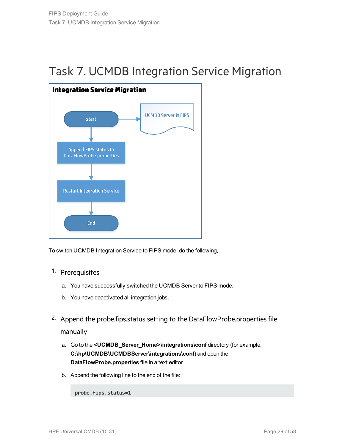## <span id="page-28-0"></span>Task 7. UCMDB Integration Service Migration



To switch UCMDB Integration Service to FIPS mode, do the following,

- 1. Prerequisites
	- a. You have successfully switched the UCMDB Server to FIPS mode.
	- b. You have deactivated all integration jobs.
- <span id="page-28-1"></span><sup>2.</sup> Append the probe.fips.status setting to the DataFlowProbe.properties file manually
	- a. Go to the **<UCMDB\_Server\_Home>\integrations\conf** directory (for example, **C:\hp\UCMDB\UCMDBServer\integrations\conf**) and open the **DataFlowProbe.properties** file in a text editor.
	- b. Append the following line to the end of the file:

**probe.fips.status=1**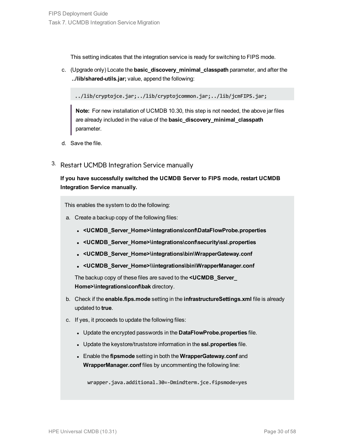This setting indicates that the integration service is ready for switching to FIPS mode.

c. (Upgrade only) Locate the **basic\_discovery\_minimal\_classpath** parameter, and after the **../lib/shared-utils.jar;** value, append the following:

**../lib/cryptojce.jar;../lib/cryptojcommon.jar;../lib/jcmFIPS.jar;**

**Note:** For new installation of UCMDB 10.30, this step is not needed, the above jar files are already included in the value of the **basic\_discovery\_minimal\_classpath** parameter.

- <span id="page-29-1"></span>d. Save the file.
- 3. Restart UCMDB Integration Service manually

**If you have successfully switched the UCMDB Server to FIPS mode, restart UCMDB Integration Service manually.**

<span id="page-29-0"></span>This enables the system to do the following:

- a. Create a backup copy of the following files:
	- <sup>l</sup> **<UCMDB\_Server\_Home>\integrations\conf\DataFlowProbe.properties**
	- <sup>l</sup> **<UCMDB\_Server\_Home>\integrations\conf\security\ssl.properties**
	- <sup>l</sup> **<UCMDB\_Server\_Home>\integrations\bin\WrapperGateway.conf**
	- <sup>l</sup> **<UCMDB\_Server\_Home>\\integrations\bin\WrapperManager.conf**

The backup copy of these files are saved to the **<UCMDB\_Server\_ Home>\integrations\conf\bak** directory.

- b. Check if the **enable.fips.mode** setting in the **infrastructureSettings.xml** file is already updated to **true**.
- c. If yes, it proceeds to update the following files:
	- **.** Update the encrypted passwords in the **DataFlowProbe.properties** file.
	- **.** Update the keystore/truststore information in the ssl.properties file.
	- <sup>l</sup> Enable the **fipsmode** setting in both the **WrapperGateway.conf** and **WrapperManager.conf** files by uncommenting the following line:

**wrapper.java.additional.30=-Dmindterm.jce.fipsmode=yes**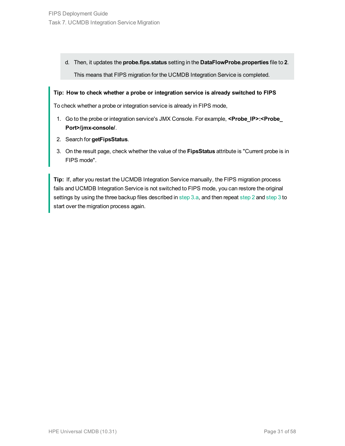d. Then, it updates the **probe.fips.status** setting in the **DataFlowProbe.properties** file to **2**. This means that FIPS migration for the UCMDB Integration Service is completed.

#### **Tip: How to check whether a probe or integration service is already switched to FIPS**

To check whether a probe or integration service is already in FIPS mode,

- 1. Go to the probe or integration service's JMX Console. For example, **<Probe\_IP>:<Probe\_ Port>/jmx-console/**.
- 2. Search for **getFipsStatus**.
- 3. On the result page, check whether the value of the **FipsStatus** attribute is "Current probe is in FIPS mode".

**Tip:** If, after you restart the UCMDB Integration Service manually, the FIPS migration process fails and UCMDB Integration Service is not switched to FIPS mode, you can restore the original settings by using the three backup files described in [step](#page-29-0) 3.a, and then repeat [step](#page-28-1) 2 and [step](#page-29-1) 3 to start over the migration process again.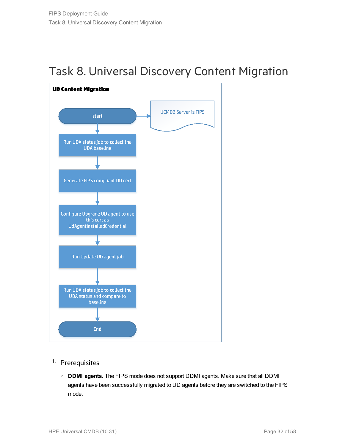<span id="page-31-0"></span>



- 1. Prerequisites
	- <sup>o</sup> **DDMI agents.** The FIPS mode does not support DDMI agents. Make sure that all DDMI agents have been successfully migrated to UD agents before they are switched to the FIPS mode.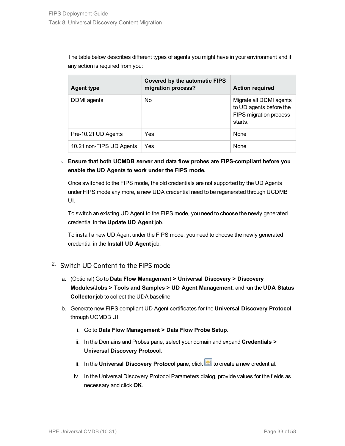The table below describes different types of agents you might have in your environment and if any action is required from you:

| <b>Agent type</b>        | <b>Covered by the automatic FIPS</b><br>migration process? | <b>Action required</b>                                                                  |
|--------------------------|------------------------------------------------------------|-----------------------------------------------------------------------------------------|
| DDMI agents              | No                                                         | Migrate all DDMI agents<br>to UD agents before the<br>FIPS migration process<br>starts. |
| Pre-10.21 UD Agents      | Yes                                                        | None                                                                                    |
| 10.21 non-FIPS UD Agents | Yes                                                        | None                                                                                    |

### <sup>o</sup> **Ensure that both UCMDB server and data flow probes are FIPS-compliant before you enable the UD Agents to work under the FIPS mode.**

Once switched to the FIPS mode, the old credentials are not supported by the UD Agents under FIPS mode any more, a new UDA credential need to be regenerated through UCDMB UI.

To switch an existing UD Agent to the FIPS mode, you need to choose the newly generated credential in the **Update UD Agent** job.

To install a new UD Agent under the FIPS mode, you need to choose the newly generated credential in the **Install UD Agent** job.

### 2. Switch UD Content to the FIPS mode

- a. (Optional) Go to **Data Flow Management > Universal Discovery > Discovery Modules/Jobs > Tools and Samples > UD Agent Management**, and run the **UDA Status Collector** job to collect the UDA baseline.
- b. Generate new FIPS compliant UD Agent certificates for the **Universal Discovery Protocol** through UCMDB UI.
	- i. Go to **Data Flow Management > Data Flow Probe Setup**.
	- ii. In the Domains and Probes pane, select your domain and expand **Credentials > Universal Discovery Protocol**.
	- iii. In the **Universal Discovery Protocol** pane, click **the late of the create a new credential.**
	- iv. In the Universal Discovery Protocol Parameters dialog, provide values for the fields as necessary and click **OK**.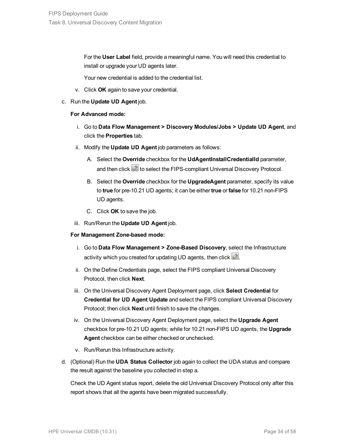For the **User Label** field, provide a meaningful name. You will need this credential to install or upgrade your UD agents later.

Your new credential is added to the credential list.

- v. Click **OK** again to save your credential.
- c. Run the **Update UD Agent** job.

#### **For Advanced mode:**

- i. Go to **Data Flow Management > Discovery Modules/Jobs > Update UD Agent**, and click the **Properties** tab.
- ii. Modify the **Update UD Agent** job parameters as follows:
	- A. Select the **Override** checkbox for the **UdAgentInstallCredentialId** parameter, and then click  $\triangle$  to select the FIPS-compliant Universal Discovery Protocol.
	- B. Select the **Override** checkbox for the **UpgradeAgent** parameter, specify its value to **true** for pre-10.21 UD agents; it can be either **true** or **false** for 10.21 non-FIPS UD agents.
	- C. Click **OK** to save the job.
- iii. Run/Rerun the **Update UD Agent** job.

#### **For Management Zone-based mode:**

- i. Go to **Data Flow Management > Zone-Based Discovery**, select the Infrastructure activity which you created for updating UD agents, then click  $\mathbb{Z}$ .
- ii. On the Define Credentials page, select the FIPS compliant Universal Discovery Protocol, then click **Next**.
- iii. On the Universal Discovery Agent Deployment page, click **Select Credential** for **Credential for UD Agent Update** and select the FIPS compliant Universal Discovery Protocol; then click **Next** until finish to save the changes.
- iv. On the Universal Discovery Agent Deployment page, select the **Upgrade Agent** checkbox for pre-10.21 UD agents; while for 10.21 non-FIPS UD agents, the **Upgrade Agent** checkbox can be either checked or unchecked.
- v. Run/Rerun this Infrastructure activity.
- d. (Optional) Run the **UDA Status Collector** job again to collect the UDA status and compare the result against the baseline you collected in step a.

Check the UD Agent status report, delete the old Universal Discovery Protocol only after this report shows that all the agents have been migrated successfully.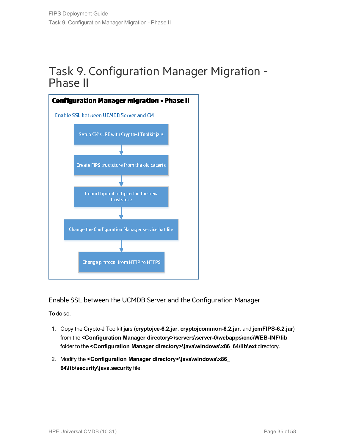### <span id="page-34-0"></span>Task 9. Configuration Manager Migration - Phase II



Enable SSL between the UCMDB Server and the Configuration Manager

To do so,

- 1. Copy the Crypto-J Toolkit jars (**cryptojce-6.2.jar**, **cryptojcommon-6.2.jar**, and **jcmFIPS-6.2.jar**) from the **<Configuration Manager directory>\servers\server-0\webapps\cnc\WEB-INF\lib** folder to the **<Configuration Manager directory>\java\windows\x86\_64\lib\ext** directory.
- 2. Modify the **<Configuration Manager directory>\java\windows\x86\_ 64\lib\security\java.security** file.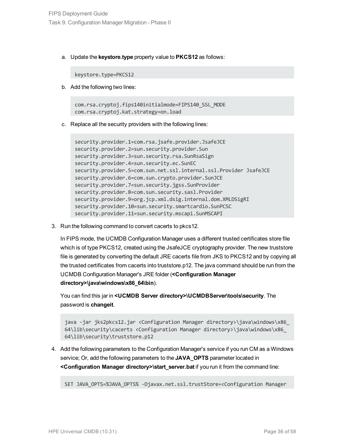a. Update the **keystore.type** property value to **PKCS12** as follows:

keystore.type=PKCS12

b. Add the following two lines:

com.rsa.cryptoj.fips140initialmode=FIPS140\_SSL\_MODE com.rsa.cryptoj.kat.strategy=on.load

c. Replace all the security providers with the following lines:

```
security.provider.1=com.rsa.jsafe.provider.JsafeJCE
security.provider.2=sun.security.provider.Sun
security.provider.3=sun.security.rsa.SunRsaSign
security.provider.4=sun.security.ec.SunEC
security.provider.5=com.sun.net.ssl.internal.ssl.Provider JsafeJCE
security.provider.6=com.sun.crypto.provider.SunJCE
security.provider.7=sun.security.jgss.SunProvider
security.provider.8=com.sun.security.sasl.Provider
security.provider.9=org.jcp.xml.dsig.internal.dom.XMLDSigRI
security.provider.10=sun.security.smartcardio.SunPCSC
security.provider.11=sun.security.mscapi.SunMSCAPI
```
3. Run the following command to convert cacerts to pkcs12.

In FIPS mode, the UCMDB Configuration Manager uses a different trusted certificates store file which is of type PKCS12, created using the JsafeJCE cryptography provider. The new truststore file is generated by converting the default JRE cacerts file from JKS to PKCS12 and by copying all the trusted certificates from cacerts into truststore.p12. The java command should be run from the UCMDB Configuration Manager's JRE folder (**<Configuration Manager directory>\java\windows\x86\_64\bin**).

You can find this jar in **<UCMDB Server directory>\UCMDBServer\tools\security**. The password is **changeit**.

java -jar jks2pkcs12.jar <Configuration Manager directory>\java\windows\x86\_ 64\lib\security\cacerts <Configuration Manager directory>\java\windows\x86\_ 64\lib\security\truststore.p12

4. Add the following parameters to the Configuration Manager's service if you run CM as a Windows service; Or, add the following parameters to the **JAVA\_OPTS** parameter located in **<Configuration Manager directory>\start\_server.bat** if you run it from the command line:

SET JAVA\_OPTS=%JAVA\_OPTS% -Djavax.net.ssl.trustStore=<Configuration Manager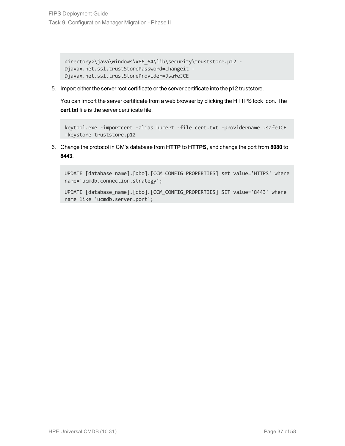```
directory>\java\windows\x86_64\lib\security\truststore.p12 -
Djavax.net.ssl.trustStorePassword=changeit -
Djavax.net.ssl.trustStoreProvider=JsafeJCE
```
5. Import either the server root certificate or the server certificate into the p12 truststore.

You can import the server certificate from a web browser by clicking the HTTPS lock icon. The **cert.txt** file is the server certificate file.

```
keytool.exe -importcert -alias hpcert -file cert.txt -providername JsafeJCE
-keystore truststore.p12
```
6. Change the protocol in CM's database from **HTTP** to **HTTPS**, and change the port from **8080** to **8443**.

```
UPDATE [database name].[dbo].[CCM_CONFIG_PROPERTIES] set value='HTTPS' where
name='ucmdb.connection.strategy';
```

```
UPDATE [database_name].[dbo].[CCM_CONFIG_PROPERTIES] SET value='8443' where
name like 'ucmdb.server.port';
```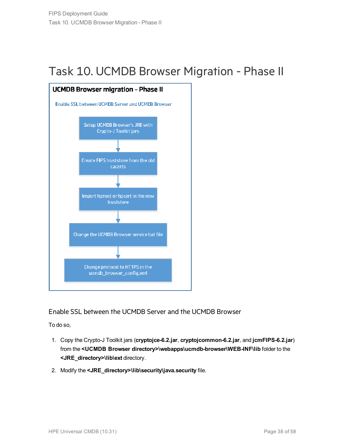## <span id="page-37-0"></span>Task 10. UCMDB Browser Migration - Phase II



Enable SSL between the UCMDB Server and the UCMDB Browser

To do so,

- 1. Copy the Crypto-J Toolkit jars (**cryptojce-6.2.jar**, **cryptojcommon-6.2.jar**, and **jcmFIPS-6.2.jar**) from the **<UCMDB Browser directory>\webapps\ucmdb-browser\WEB-INF\lib** folder to the **<JRE\_directory>\lib\ext** directory.
- 2. Modify the **<JRE\_directory>\lib\security\java.security** file.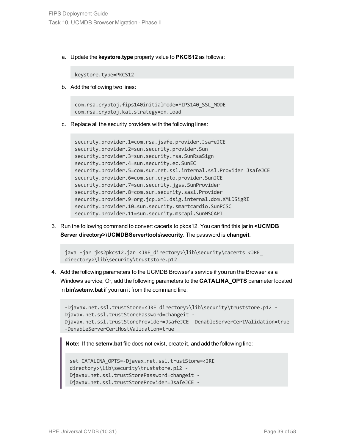a. Update the **keystore.type** property value to **PKCS12** as follows:

keystore.type=PKCS12

b. Add the following two lines:

com.rsa.cryptoj.fips140initialmode=FIPS140\_SSL\_MODE com.rsa.cryptoj.kat.strategy=on.load

c. Replace all the security providers with the following lines:

```
security.provider.1=com.rsa.jsafe.provider.JsafeJCE
security.provider.2=sun.security.provider.Sun
security.provider.3=sun.security.rsa.SunRsaSign
security.provider.4=sun.security.ec.SunEC
security.provider.5=com.sun.net.ssl.internal.ssl.Provider JsafeJCE
security.provider.6=com.sun.crypto.provider.SunJCE
security.provider.7=sun.security.jgss.SunProvider
security.provider.8=com.sun.security.sasl.Provider
security.provider.9=org.jcp.xml.dsig.internal.dom.XMLDSigRI
security.provider.10=sun.security.smartcardio.SunPCSC
security.provider.11=sun.security.mscapi.SunMSCAPI
```
3. Run the following command to convert cacerts to pkcs12. You can find this jar in **<UCMDB Server directory>\UCMDBServer\tools\security**. The password is **changeit**.

```
java -jar jks2pkcs12.jar <JRE_directory>\lib\security\cacerts <JRE_
directory>\lib\security\truststore.p12
```
4. Add the following parameters to the UCMDB Browser's service if you run the Browser as a Windows service; Or, add the following parameters to the **CATALINA\_OPTS** parameter located in **bin\setenv.bat** if you run it from the command line:

```
-Djavax.net.ssl.trustStore=<JRE directory>\lib\security\truststore.p12 -
Djavax.net.ssl.trustStorePassword=changeit -
Djavax.net.ssl.trustStoreProvider=JsafeJCE -DenableServerCertValidation=true
-DenableServerCertHostValidation=true
```
**Note:** If the **setenv.bat** file does not exist, create it, and add the following line:

```
set CATALINA_OPTS=-Djavax.net.ssl.trustStore=<JRE
directory>\lib\security\truststore.p12 -
Djavax.net.ssl.trustStorePassword=changeit -
Djavax.net.ssl.trustStoreProvider=JsafeJCE -
```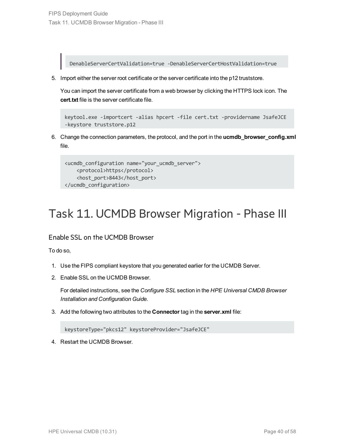DenableServerCertValidation=true -DenableServerCertHostValidation=true

5. Import either the server root certificate or the server certificate into the p12 truststore.

You can import the server certificate from a web browser by clicking the HTTPS lock icon. The **cert.txt** file is the server certificate file.

```
keytool.exe -importcert -alias hpcert -file cert.txt -providername JsafeJCE
-keystore truststore.p12
```
6. Change the connection parameters, the protocol, and the port in the **ucmdb\_browser\_config.xml** file.

```
<ucmdb_configuration name="your_ucmdb_server">
   <protocol>https</protocol>
    <host_port>8443</host_port>
</ucmdb_configuration>
```
### <span id="page-39-0"></span>Task 11. UCMDB Browser Migration - Phase III

#### Enable SSL on the UCMDB Browser

To do so,

- 1. Use the FIPS compliant keystore that you generated earlier for the UCMDB Server.
- 2. Enable SSL on the UCMDB Browser.

For detailed instructions, see the *Configure SSL* section in the *HPE Universal CMDB Browser Installation and Configuration Guide*.

3. Add the following two attributes to the **Connector** tag in the **server.xml** file:

keystoreType="pkcs12" keystoreProvider="JsafeJCE"

4. Restart the UCMDB Browser.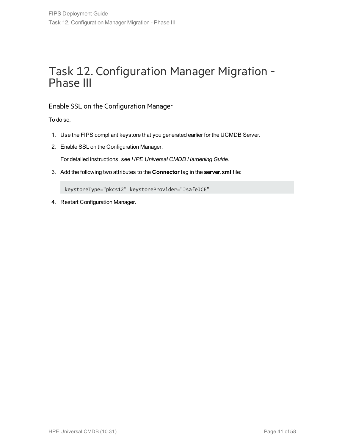### <span id="page-40-0"></span>Task 12. Configuration Manager Migration - Phase III

### Enable SSL on the Configuration Manager

To do so,

- 1. Use the FIPS compliant keystore that you generated earlier for the UCMDB Server.
- 2. Enable SSL on the Configuration Manager.

For detailed instructions, see *HPE Universal CMDB Hardening Guide*.

3. Add the following two attributes to the **Connector** tag in the **server.xml** file:

keystoreType="pkcs12" keystoreProvider="JsafeJCE"

4. Restart Configuration Manager.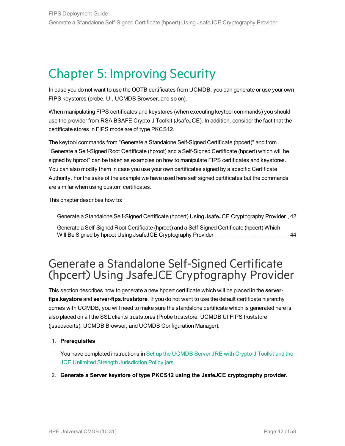## <span id="page-41-0"></span>Chapter 5: Improving Security

In case you do not want to use the OOTB certificates from UCMDB, you can generate or use your own FIPS keystores (probe, UI, UCMDB Browser, and so on).

When manipulating FIPS certificates and keystores (when executing keytool commands) you should use the provider from RSA BSAFE Crypto-J Toolkit (JsafeJCE). In addition, consider the fact that the certificate stores in FIPS mode are of type PKCS12.

The keytool commands from "Generate a Standalone Self-Signed Certificate (hpcert)" and from "Generate a Self-Signed Root Certificate (hproot) and a Self-Signed Certificate (hpcert) which will be signed by hproot" can be taken as examples on how to manipulate FIPS certificates and keystores. You can also modify them in case you use your own certificates signed by a specific Certificate Authority. For the sake of the example we have used here self signed certificates but the commands are similar when using custom certificates.

This chapter describes how to:

Generate a Standalone Self-Signed Certificate (hpcert) Using JsafeJCE [Cryptography](#page-41-1) Provider . [42](#page-41-1)

Generate a Self-Signed Root Certificate (hproot) and a [Self-Signed](#page-43-0) Certificate (hpcert) Which Will Be Signed by hproot Using JsafeJCE [Cryptography](#page-43-0) Provider [44](#page-43-0)

### <span id="page-41-1"></span>Generate a Standalone Self-Signed Certificate (hpcert) Using JsafeJCE Cryptography Provider

This section describes how to generate a new hpcert certificate which will be placed in the **serverfips.keystore** and **server-fips.truststore**. If you do not want to use the default certificate hierarchy comes with UCMDB, you will need to make sure the standalone certificate which is generated here is also placed on all the SSL clients truststores (Probe truststore, UCMDB UI FIPS truststore (jssecacerts), UCMDB Browser, and UCMDB Configuration Manager).

#### 1. **Prerequisites**

You have completed instructions in Set up the [UCMDB](#page-17-1) Server JRE with Crypto-J Toolkit and the JCE Unlimited Strength [Jurisdiction](#page-17-1) Policy jars.

2. **Generate a Server keystore of type PKCS12 using the JsafeJCE cryptography provider.**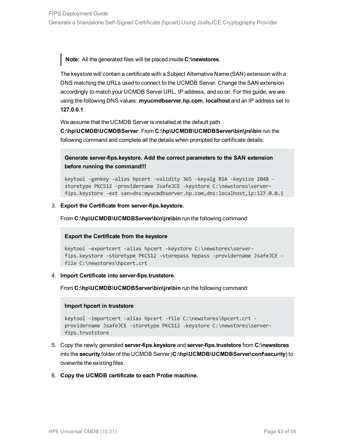**Note:** All the generated files will be placed inside **C:\newstores**.

The keystore will contain a certificate with a Subject Alternative Name (SAN) extension with a DNS matching the URLs used to connect to the UCMDB Server. Change the SAN extension accordingly to match your UCMDB Server URL, IP address, and so on. For this guide, we are using the following DNS values: **myucmdbserver.hp.com**, **localhost** and an IP address set to **127.0.0.1**.

We assume that the UCMDB Server is installed at the default path

**C:\hp\UCMDB\UCMDBServer**. From **C:\hp\UCMDB\UCMDBServer\bin\jre\bin** run the following command and complete all the details when prompted for certificate details:

**Generate server-fips.keystore. Add the correct parameters to the SAN extension before running the command!!!**

keytool -genkey -alias hpcert -validity 365 -keyalg RSA -keysize 2048 storetype PKCS12 -providername JsafeJCE -keystore C:\newstores\serverfips.keystore -ext san=dns:myucmdbserver.hp.com,dns:localhost,ip:127.0.0.1

#### 3. **Export the Certificate from server-fips.keystore.**

From **C:\hp\UCMDB\UCMDBServer\bin\jre\bin** run the following command:

#### **Export the Certificate from the keystore**

```
keytool -exportcert -alias hpcert -keystore C:\newstores\server-
fips.keystore -storetype PKCS12 -storepass hppass -providername JsafeJCE -
file C:\newstores\hpcert.crt
```
#### 4. **Import Certificate into server-fips.truststore.**

From C:\hp\UCMDB\UCMDBServer\bin\jre\bin run the following command:

#### **Import hpcert in truststore**

```
keytool -importcert -alias hpcert -file C:\newstores\hpcert.crt -
providername JsafeJCE -storetype PKCS12 -keystore C:\newstores\server-
fips.truststore
```
- 5. Copy the newly generated **server-fips.keystore** and **server-fips.truststore** from **C:\newstores** into the **security** folder of the UCMDB Server (**C:\hp\UCMDB\UCMDBServer\conf\security**) to overwrite the existing files.
- 6. **Copy the UCMDB certificate to each Probe machine.**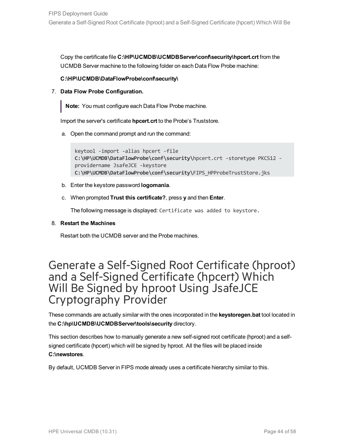Copy the certificate file **C:\HP\UCMDB\UCMDBServer\conf\security\hpcert.crt** from the UCMDB Server machine to the following folder on each Data Flow Probe machine:

#### **C:\HP\UCMDB\DataFlowProbe\conf\security\**

7. **Data Flow Probe Configuration.**

**Note:** You must configure each Data Flow Probe machine.

Import the server's certificate **hpcert.crt** to the Probe's Truststore.

a. Open the command prompt and run the command:

```
keytool -import -alias hpcert -file
C:\HP\UCMDB\DataFlowProbe\conf\security\hpcert.crt -storetype PKCS12 -
providername JsafeJCE -keystore
C:\HP\UCMDB\DataFlowProbe\conf\security\FIPS_HPProbeTrustStore.jks
```
- b. Enter the keystore password **logomania**.
- c. When prompted **Trust this certificate?**, press **y** and then **Enter**.

The following message is displayed: Certificate was added to keystore.

#### 8. **Restart the Machines**

Restart both the UCMDB server and the Probe machines.

### <span id="page-43-0"></span>Generate a Self-Signed Root Certificate (hproot) and a Self-Signed Certificate (hpcert) Which Will Be Signed by hproot Using JsafeJCE Cryptography Provider

These commands are actually similar with the ones incorporated in the **keystoregen.bat** tool located in the **C:\hp\UCMDB\UCMDBServer\tools\security** directory.

This section describes how to manually generate a new self-signed root certificate (hproot) and a selfsigned certificate (hpcert) which will be signed by hproot. All the files will be placed inside **C:\newstores**.

By default, UCMDB Server in FIPS mode already uses a certificate hierarchy similar to this.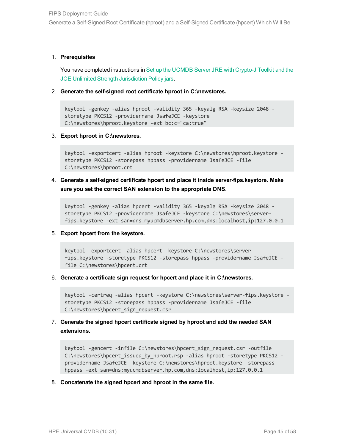Generate a Self-Signed Root Certificate (hproot) and a Self-Signed Certificate (hpcert) Which Will Be

#### 1. **Prerequisites**

You have completed instructions in Set up the [UCMDB](#page-17-1) Server JRE with Crypto-J Toolkit and the JCE Unlimited Strength [Jurisdiction](#page-17-1) Policy jars.

2. **Generate the self-signed root certificate hproot in C:\newstores.**

keytool -genkey -alias hproot -validity 365 -keyalg RSA -keysize 2048 storetype PKCS12 -providername JsafeJCE -keystore C:\newstores\hproot.keystore -ext bc:c="ca:true"

3. **Export hproot in C:\newstores.**

```
keytool -exportcert -alias hproot -keystore C:\newstores\hproot.keystore -
storetype PKCS12 -storepass hppass -providername JsafeJCE -file
C:\newstores\hproot.crt
```
4. **Generate a self-signed certificate hpcert and place it inside server-fips.keystore. Make sure you set the correct SAN extension to the appropriate DNS.**

```
keytool -genkey -alias hpcert -validity 365 -keyalg RSA -keysize 2048 -
storetype PKCS12 -providername JsafeJCE -keystore C:\newstores\server-
fips.keystore -ext san=dns:myucmdbserver.hp.com,dns:localhost,ip:127.0.0.1
```
5. **Export hpcert from the keystore.**

```
keytool -exportcert -alias hpcert -keystore C:\newstores\server-
fips.keystore -storetype PKCS12 -storepass hppass -providername JsafeJCE -
file C:\newstores\hpcert.crt
```
6. **Generate a certificate sign request for hpcert and place it in C:\newstores.**

keytool -certreq -alias hpcert -keystore C:\newstores\server-fips.keystore storetype PKCS12 -storepass hppass -providername JsafeJCE -file C:\newstores\hpcert\_sign\_request.csr

7. **Generate the signed hpcert certificate signed by hproot and add the needed SAN extensions.**

```
keytool -gencert -infile C:\newstores\hpcert_sign_request.csr -outfile
C:\newstores\hpcert_issued_by_hproot.rsp -alias hproot_-storetype_PKCS12 -
providername JsafeJCE -keystore C:\newstores\hproot.keystore -storepass
hppass -ext san=dns:myucmdbserver.hp.com,dns:localhost,ip:127.0.0.1
```
8. **Concatenate the signed hpcert and hproot in the same file.**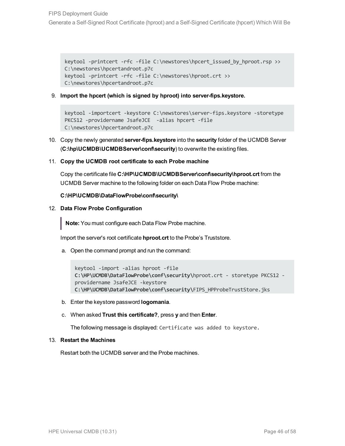keytool -printcert -rfc -file C:\newstores\hpcert issued by hproot.rsp >> C:\newstores\hpcertandroot.p7c keytool -printcert -rfc -file C:\newstores\hproot.crt >> C:\newstores\hpcertandroot.p7c

9. **Import the hpcert (which is signed by hproot) into server-fips.keystore.**

```
keytool -importcert -keystore C:\newstores\server-fips.keystore -storetype
PKCS12 -providername JsafeJCE -alias hpcert -file
C:\newstores\hpcertandroot.p7c
```
- 10. Copy the newly generated **server-fips.keystore** into the **security** folder of the UCMDB Server (**C:\hp\UCMDB\UCMDBServer\conf\security**) to overwrite the existing files.
- 11. **Copy the UCMDB root certificate to each Probe machine**

Copy the certificate file **C:\HP\UCMDB\UCMDBServer\conf\security\hproot.crt** from the UCMDB Server machine to the following folder on each Data Flow Probe machine:

#### **C:\HP\UCMDB\DataFlowProbe\conf\security\**

12. **Data Flow Probe Configuration**

**Note:** You must configure each Data Flow Probe machine.

Import the server's root certificate **hproot.crt** to the Probe's Truststore.

a. Open the command prompt and run the command:

```
keytool -import -alias hproot -file
C:\HP\UCMDB\DataFlowProbe\conf\security\hproot.crt - storetype PKCS12 -
providername JsafeJCE -keystore
C:\HP\UCMDB\DataFlowProbe\conf\security\FIPS_HPProbeTrustStore.jks
```
b. Enter the keystore password **logomania**.

#### c. When asked **Trust this certificate?**, press **y** and then **Enter**.

The following message is displayed: Certificate was added to keystore.

#### 13. **Restart the Machines**

Restart both the UCMDB server and the Probe machines.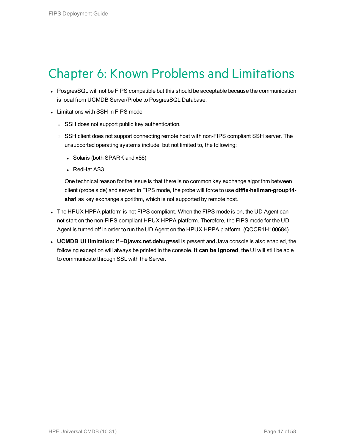## <span id="page-46-0"></span>Chapter 6: Known Problems and Limitations

- PosgresSQL will not be FIPS compatible but this should be acceptable because the communication is local from UCMDB Server/Probe to PosgresSQL Database.
- Limitations with SSH in FIPS mode
	- SSH does not support public key authentication.
	- SSH client does not support connecting remote host with non-FIPS compliant SSH server. The unsupported operating systems include, but not limited to, the following:
		- Solaris (both SPARK and x86)
		- RedHat AS3.

One technical reason for the issue is that there is no common key exchange algorithm between client (probe side) and server: in FIPS mode, the probe will force to use **diffie-hellman-group14 sha1** as key exchange algorithm, which is not supported by remote host.

- The HPUX HPPA platform is not FIPS compliant. When the FIPS mode is on, the UD Agent can not start on the non-FIPS compliant HPUX HPPA platform. Therefore, the FIPS mode for the UD Agent is turned off in order to run the UD Agent on the HPUX HPPA platform. (QCCR1H100684)
- <sup>l</sup> **UCMDB UI limitation:** If **–Djavax.net.debug=ssl** is present and Java console is also enabled, the following exception will always be printed in the console. **It can be ignored**, the UI will still be able to communicate through SSL with the Server.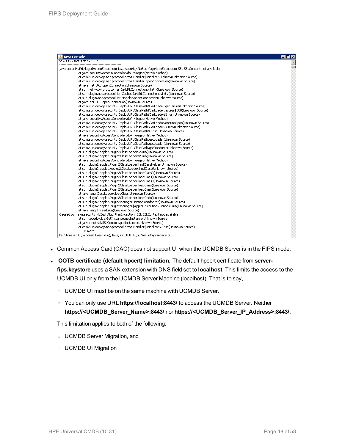| Java Console                                                                                                  | $\Box$ $\times$ |
|---------------------------------------------------------------------------------------------------------------|-----------------|
| at trata iavai tu kiriz                                                                                       |                 |
| java.security.PrivilegedActionException: java.security.NoSuchAlgorithmException: SSL SSLContext not available |                 |
| at java.security.AccessController.doPrivileged(Native Method)                                                 |                 |
| at com.sun.deploy.net.protocol.https.Handler\$Initializer. <clinit>(Unknown Source)</clinit>                  |                 |
| at com.sun.deploy.net.protocol.https.Handler.openConnection(Unknown Source)                                   |                 |
| at java.net.URL.openConnection(Unknown Source)                                                                |                 |
| at sun.net.www.protocol.jar.JarURLConnection. <init>(Unknown Source)</init>                                   |                 |
| at sun.plugin.net.protocol.jar.CachedJarURLConnection. <init>(Unknown Source)</init>                          |                 |
| at sun.plugin.net.protocol.jar.Handler.openConnection(Unknown Source)                                         |                 |
| at java.net.URL.openConnection(Unknown Source)                                                                |                 |
| at com.sun.deplov.security.DeplovURLClassPath\$JarLoader.getJarFile(Unknown Source)                           |                 |
| at com.sun.deploy.security.DeployURLClassPath\$JarLoader.access\$800(Unknown Source)                          |                 |
| at com.sun.deploy.security.DeployURLClassPath\$JarLoader\$1.run(Unknown Source)                               |                 |
| at java.security.AccessController.doPrivileged(Native Method)                                                 |                 |
| at com.sun.deploy.security.DeployURLClassPath\$JarLoader.ensureOpen(Unknown Source)                           |                 |
| at com.sun.deploy.security.DeployURLClassPath\$JarLoader. <init>(Unknown Source)</init>                       |                 |
| at com.sun.deploy.security.DeployURLClassPath\$3.run(Unknown Source)                                          |                 |
| at java.security.AccessController.doPrivileged(Native Method)                                                 |                 |
| at com.sun.deploy.security.DeployURLClassPath.getLoader(Unknown Source)                                       |                 |
| at com.sun.deploy.security.DeployURLClassPath.getLoader(Unknown Source)                                       |                 |
| at com.sun.deploy.security.DeployURLClassPath.getResource(Unknown Source)                                     |                 |
| at sun.plugin2.applet.Plugin2ClassLoader\$2.run(Unknown Source)                                               |                 |
|                                                                                                               |                 |
| at sun.plugin2.applet.Plugin2ClassLoader\$2.run(Unknown Source)                                               |                 |
| at java.security.AccessController.doPrivileged(Native Method)                                                 |                 |
| at sun.plugin2.applet.Plugin2ClassLoader.findClassHelper(Unknown Source)                                      |                 |
| at sun.plugin2.applet.Applet2ClassLoader.findClass(Unknown Source)                                            |                 |
| at sun.plugin2.applet.Plugin2ClassLoader.loadClass0(Unknown Source)                                           |                 |
| at sun.plugin2.applet.Plugin2ClassLoader.loadClass(Unknown Source)                                            |                 |
| at sun.plugin2.applet.Plugin2ClassLoader.loadClass0(Unknown Source)                                           |                 |
| at sun.plugin2.applet.Plugin2ClassLoader.loadClass(Unknown Source)                                            |                 |
| at sun.plugin2.applet.Plugin2ClassLoader.loadClass(Unknown Source)                                            |                 |
| at java.lang.ClassLoader.loadClass(Unknown Source)                                                            |                 |
| at sun.plugin2.applet.Plugin2ClassLoader.loadCode(Unknown Source)                                             |                 |
| at sun.plugin2.applet.Plugin2Manager.initAppletAdapter(Unknown Source)                                        |                 |
| at sun.plugin2.applet.Plugin2Manager\$AppletExecutionRunnable.run(Unknown Source)                             |                 |
| at java.lang.Thread.run(Unknown Source)                                                                       |                 |
| Caused by: java.security.NoSuchAlgorithmException: SSL SSLContext not available                               |                 |
| at sun.security.jca.GetInstance.getInstance(Unknown Source)                                                   |                 |
| at javax.net.ssl.SSLContext.getInstance(Unknown Source)                                                       |                 |
| at com.sun.deploy.net.protocol.https.Handler\$Initializer\$2.run(Unknown Source)                              |                 |
| $\ldots$ 34 more                                                                                              |                 |
| keyStore is: C:/Program Files (x86)/Java/jre1.8.0_45/lib/security/jssecacerts                                 |                 |

- Common Access Card (CAC) does not support UI when the UCMDB Server is in the FIPS mode.
- <sup>l</sup> **OOTB certificate (default hpcert) limitation.** The default hpcert certificate from **serverfips.keystore** uses a SAN extension with DNS field set to **localhost**. This limits the access to the UCMDB UI only from the UCMDB Server Machine (localhost). That is to say,
	- <sup>o</sup> UCMDB UI must be on the same machine with UCMDB Server.
	- <sup>o</sup> You can only use URL **https://localhost:8443/** to access the UCMDB Server. Neither **https://<UCMDB\_Server\_Name>:8443/** nor **https://<UCMDB\_Server\_IP\_Address>:8443/**.

This limitation applies to both of the following:

- <sup>o</sup> UCMDB Server Migration, and
- <sup>o</sup> UCMDB UI Migration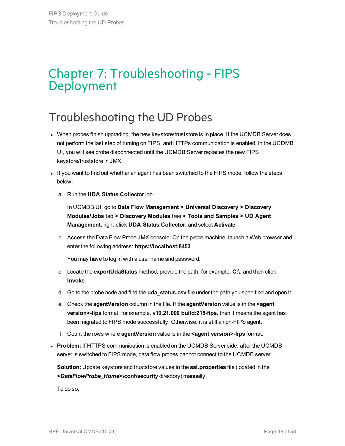## <span id="page-48-0"></span>Chapter 7: Troubleshooting - FIPS Deployment

## <span id="page-48-1"></span>Troubleshooting the UD Probes

- When probes finish upgrading, the new keystore/truststore is in place. If the UCMDB Server does not perform the last step of turning on FIPS, and HTTPs communication is enabled, in the UCDMB UI, you will see probe disconnected until the UCMDB Server replaces the new FIPS keystore/truststore in JMX.
- If you want to find out whether an agent has been switched to the FIPS mode, follow the steps below:
	- a. Run the **UDA Status Collector** job.

In UCMDB UI, go to **Data Flow Management > Universal Discovery > Discovery Modules/Jobs** tab **> Discovery Modules** tree **> Tools and Samples > UD Agent Management**, right-click **UDA Status Collector**, and select **Activate**.

b. Access the Data Flow Probe JMX console: On the probe machine, launch a Web browser and enter the following address: **https://localhost:8453**.

You may have to log in with a user name and password.

- c. Locate the **exportUdaStatus** method, provide the path, for example, **C:\**, and then click **Invoke**.
- d. Go to the probe node and find the **uda\_status.csv** file under the path you specified and open it.
- e. Check the **agentVersion** column in the file. If the **agentVersion** value is in the **<agent version>-fips** format, for example, **v10.21.000 build:215-fips**, then it means the agent has been migrated to FIPS mode successfully. Otherwise, it is still a non-FIPS agent.
- f. Count the rows where **agentVersion** value is in the **<agent version>-fips** format.
- **Problem:** If HTTPS communication is enabled on the UCMDB Server side, after the UCMDB server is switched to FIPS mode, data flow probes cannot connect to the UCMDB server.

**Solution:** Update keystore and truststore values in the **ssl.properties** file (located in the **<***DataFlowProbe\_Home***>\conf\security** directory) manually.

To do so,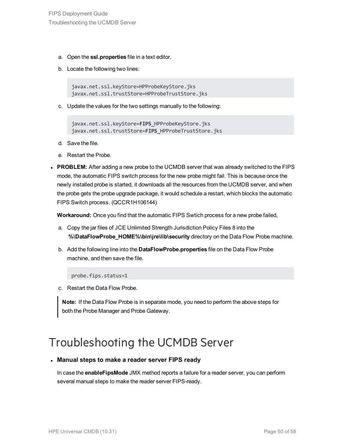- a. Open the **ssl.properties** file in a text editor.
- b. Locate the following two lines:

javax.net.ssl.keyStore=HPProbeKeyStore.jks javax.net.ssl.trustStore=HPProbeTrustStore.jks

c. Update the values for the two settings manually to the following:

```
javax.net.ssl.keyStore=FIPS_HPProbeKeyStore.jks
javax.net.ssl.trustStore=FIPS_HPProbeTrustStore.jks
```
- d. Save the file.
- e. Restart the Probe.
- PROBLEM: After adding a new probe to the UCMDB server that was already switched to the FIPS mode, the automatic FIPS switch process for the new probe might fail. This is because once the newly installed probe is started, it downloads all the resources from the UCMDB server, and when the probe gets the probe upgrade package, it would schedule a restart, which blocks the automatic FIPS Switch process. (QCCR1H106144)

**Workaround:** Once you find that the automatic FIPS Swtich process for a new probe failed,

- a. Copy the jar files of JCE Unlimited Strength Jurisdiction Policy Files 8 into the **%\DataFlowProbe\_HOME%\bin\jre\lib\security** directory on the Data Flow Probe machine.
- b. Add the following line into the **DataFlowProbe.properties** file on the Data Flow Probe machine, and then save the file.

probe.fips.status=1

c. Restart the Data Flow Probe.

**Note:** If the Data Flow Probe is in separate mode, you need to perform the above steps for both the Probe Manager and Probe Gateway.

### <span id="page-49-0"></span>Troubleshooting the UCMDB Server

#### <sup>l</sup> **Manual steps to make a reader server FIPS ready**

In case the **enableFipsMode** JMX method reports a failure for a reader server, you can perform several manual steps to make the reader server FIPS-ready.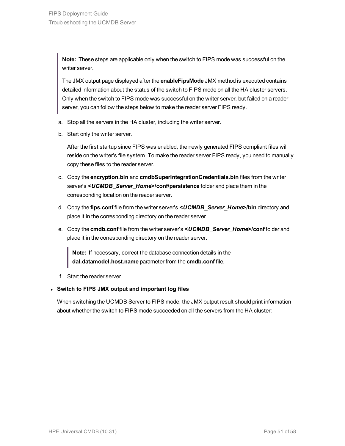**Note:** These steps are applicable only when the switch to FIPS mode was successful on the writer server.

The JMX output page displayed after the **enableFipsMode** JMX method is executed contains detailed information about the status of the switch to FIPS mode on all the HA cluster servers. Only when the switch to FIPS mode was successful on the writer server, but failed on a reader server, you can follow the steps below to make the reader server FIPS ready.

- a. Stop all the servers in the HA cluster, including the writer server.
- b. Start only the writer server.

After the first startup since FIPS was enabled, the newly generated FIPS compliant files will reside on the writer's file system. To make the reader server FIPS ready, you need to manually copy these files to the reader server.

- c. Copy the **encryption.bin** and **cmdbSuperIntegrationCredentials.bin** files from the writer server's **<***UCMDB\_Server\_Home***>/conf/persistence** folder and place them in the corresponding location on the reader server.
- d. Copy the **fips.conf** file from the writer server's **<***UCMDB\_Server\_Home***>/bin** directory and place it in the corresponding directory on the reader server.
- e. Copy the **cmdb.conf** file from the writer server's **<***UCMDB\_Server\_Home***>/conf** folder and place it in the corresponding directory on the reader server.

**Note:** If necessary, correct the database connection details in the **dal.datamodel.host.name** parameter from the **cmdb.conf** file.

f. Start the reader server.

#### <sup>l</sup> **Switch to FIPS JMX output and important log files**

When switching the UCMDB Server to FIPS mode, the JMX output result should print information about whether the switch to FIPS mode succeeded on all the servers from the HA cluster: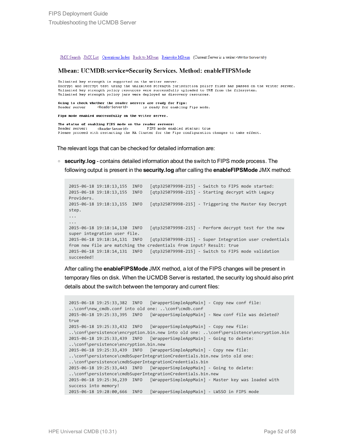JMX Search JMX List Operations Index Back to MBean Reinvoke MBean (Current Server is a writer:<Writer Server Id>)

#### Mbean: UCMDB:service=Security Services. Method: enableFIPSMode

Unlimited key strength is supported on the writer server. Encrypt and Decrypt test using the unlimited strength jurisdiction policy files has passed on the writer server. Unlimited key strength policy resources were successfully uploaded to URM from the filesystem. Unlimited key strength policy jars were deployed as discovery resources.

Going to check whether the reader servers are ready for Fips: Reader server <Reader Server Id> is ready for enabling Fips mode.

Fips mode enabled successfully on the writer server.

The status of enabling FIPS mode on the reader servers: FIPS mode enabled status: true Reader server: <Reader Server Id> Please proceed with restarting the HA Cluster for the Fips configuration changes to take effect.

The relevant logs that can be checked for detailed information are:

<sup>o</sup> **security.log** - contains detailed information about the switch to FIPS mode process. The following output is present in the **security.log** after calling the **enableFIPSMode** JMX method:

```
2015-06-18 19:18:13,155 INFO [qtp325079998-215] - Switch to FIPS mode started:
2015-06-18 19:18:13,155 INFO [qtp325079998-215] - Starting decrypt with Legacy
Providers.
2015-06-18 19:18:13,155 INFO [qtp325079998-215] - Triggering the Master Key Decrypt
step.
...
...
2015-06-18 19:18:14,130 INFO [qtp325079998-215] - Perform decrypt test for the new
super integration user file.
2015-06-18 19:18:14,131 INFO [qtp325079998-215] - Super Integration user credentials
from new file are matching the credentials from input? Result: true
2015-06-18 19:18:14,131 INFO [qtp325079998-215] - Switch to FIPS mode validation
succeeded!
```
After calling the **enableFIPSMode** JMX method, a lot of the FIPS changes will be present in temporary files on disk. When the UCMDB Server is restarted, the security log should also print details about the switch between the temporary and current files:

```
2015-06-18 19:25:33,382 INFO [WrapperSimpleAppMain] - Copy new conf file:
..\conf\new_cmdb.conf into old one: ..\conf\cmdb.conf
2015-06-18 19:25:33,395 INFO [WrapperSimpleAppMain] - New conf file was deleted?
true
2015-06-18 19:25:33,432 INFO [WrapperSimpleAppMain] - Copy new file:
..\conf\persistence\encryption.bin.new into old one: ..\conf\persistence\encryption.bin
2015-06-18 19:25:33,439 INFO [WrapperSimpleAppMain] - Going to delete:
..\conf\persistence\encryption.bin.new
2015-06-18 19:25:33,439 INFO [WrapperSimpleAppMain] - Copy new file:
..\conf\persistence\cmdbSuperIntegrationCredentials.bin.new into old one:
..\conf\persistence\cmdbSuperIntegrationCredentials.bin
2015-06-18 19:25:33,443 INFO [WrapperSimpleAppMain] - Going to delete:
..\conf\persistence\cmdbSuperIntegrationCredentials.bin.new
2015-06-18 19:25:36,239 INFO [WrapperSimpleAppMain] - Master key was loaded with
success into memory!
2015-06-18 19:28:00,666 INFO [WrapperSimpleAppMain] - LWSSO in FIPS mode
```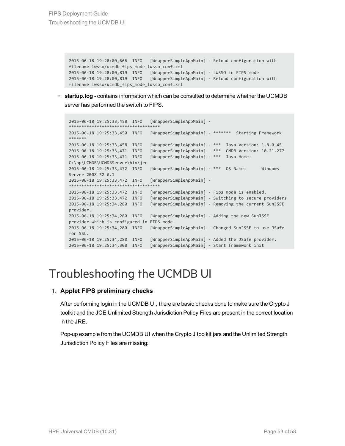2015-06-18 19:28:00,666 INFO [WrapperSimpleAppMain] - Reload configuration with filename lwsso/ucmdb\_fips\_mode\_lwsso\_conf.xml 2015-06-18 19:28:00,819 INFO [WrapperSimpleAppMain] - LWSSO in FIPS mode 2015-06-18 19:28:00,819 INFO [WrapperSimpleAppMain] - Reload configuration with filename lwsso/ucmdb\_fips\_mode\_lwsso\_conf.xml

<sup>o</sup> **startup.log** - contains information which can be consulted to determine whether the UCMDB server has performed the switch to FIPS.

```
2015-06-18 19:25:33,450 INFO [WrapperSimpleAppMain] -
************************************
2015-06-18 19:25:33,450 INFO [WrapperSimpleAppMain] - ******* Starting Framework
*******
2015-06-18 19:25:33,458 INFO [WrapperSimpleAppMain] - *** Java Version: 1.8.0_45
2015-06-18 19:25:33,471 INFO [WrapperSimpleAppMain] - *** CMDB Version: 10.21.277
2015-06-18 19:25:33,471 INFO [WrapperSimpleAppMain] - *** Java Home:
C:\hp\UCMDB\UCMDBServer\bin\jre
2015-06-18 19:25:33,472 INFO [WrapperSimpleAppMain] - *** OS Name: Windows
Server 2008 R2 6.1
2015-06-18 19:25:33,472 INFO [WrapperSimpleAppMain] -
************************************
2015-06-18 19:25:33,472 INFO [WrapperSimpleAppMain] - Fips mode is enabled.
2015-06-18 19:25:33,472 INFO [WrapperSimpleAppMain] - Switching to secure providers
2015-06-18 19:25:34,280 INFO [WrapperSimpleAppMain] - Removing the current SunJSSE
provider.
2015-06-18 19:25:34,280 INFO [WrapperSimpleAppMain] - Adding the new SunJSSE
provider which is configured in FIPS mode.
2015-06-18 19:25:34,280 INFO [WrapperSimpleAppMain] - Changed SunJSSE to use JSafe
for SSL.
2015-06-18 19:25:34,280 INFO [WrapperSimpleAppMain] - Added the JSafe provider.
2015-06-18 19:25:34,300 INFO [WrapperSimpleAppMain] - Start framework init
```
## <span id="page-52-0"></span>Troubleshooting the UCMDB UI

#### 1. **Applet FIPS preliminary checks**

After performing login in the UCMDB UI, there are basic checks done to make sure the Crypto J toolkit and the JCE Unlimited Strength Jurisdiction Policy Files are present in the correct location in the JRE.

Pop-up example from the UCMDB UI when the Crypto J toolkit jars and the Unlimited Strength Jurisdiction Policy Files are missing: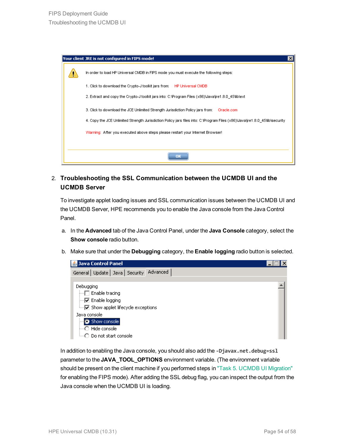| Your client JRE is not configured in FIPS mode!                                                                              |
|------------------------------------------------------------------------------------------------------------------------------|
| In order to load HP Universal CMDB in FIPS mode you must execute the following steps:                                        |
| 1. Click to download the Crypto-J toolkit jars from:<br>HP Universal CMDB                                                    |
| 2. Extract and copy the Crypto-J toolkit jars into: C:\Program Files (x86)\Java\jre1.8.0_45\lib\ext                          |
| 3. Click to download the JCE Unlimited Strength Jurisdiction Policy jars from:<br>Oracle.com                                 |
| 4. Copy the JCE Unlimited Strength Jurisdiction Policy jars files into: C:\Program Files (x86)\Java\jre1.8.0_45\lib\security |
| Warning: After you executed above steps please restart your Internet Browser!                                                |
|                                                                                                                              |
| OK                                                                                                                           |

2. **Troubleshooting the SSL Communication between the UCMDB UI and the UCMDB Server**

To investigate applet loading issues and SSL communication issues between the UCMDB UI and the UCMDB Server, HPE recommends you to enable the Java console from the Java Control Panel.

- a. In the **Advanced** tab of the Java Control Panel, under the **Java Console** category, select the **Show console** radio button.
- b. Make sure that under the **Debugging** category, the **Enable logging** radio button is selected.

| <b>名 Java Control Panel</b>                                                                                                                                                                             |  |
|---------------------------------------------------------------------------------------------------------------------------------------------------------------------------------------------------------|--|
| General   Update   Java   Security   Advanced                                                                                                                                                           |  |
| Debugging<br>$\Box$ Enable tracing<br>$\Box$ Enable logging<br>i <u>v</u> Show applet lifecycle exceptions<br>Java console<br>Show console<br>….○ Hide console<br><sub>i…</sub> ∩ Do not start console. |  |

In addition to enabling the Java console, you should also add the **-Djavax.net.debug=ssl** parameter to the **JAVA\_TOOL\_OPTIONS** environment variable. (The environment variable should be present on the client machine if you performed steps in "Task 5. UCMDB UI [Migration"](#page-22-0) for enabling the FIPS mode). After adding the SSL debug flag, you can inspect the output from the Java console when the UCMDB UI is loading.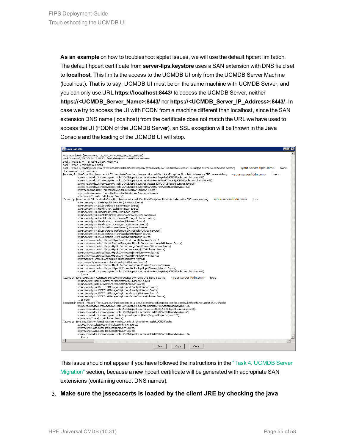**As an example** on how to troubleshoot applet issues, we will use the default hpcert limitation. The default hpcert certificate from **server-fips.keystore** uses a SAN extension with DNS field set to **localhost**. This limits the access to the UCMDB UI only from the UCMDB Server Machine (localhost). That is to say, UCMDB UI must be on the same machine with UCMDB Server, and you can only use URL **https://localhost:8443/** to access the UCMDB Server, neither **https://<UCMDB\_Server\_Name>:8443/** nor **https://<UCMDB\_Server\_IP\_Address>:8443/**. In case we try to access the UI with FQDN from a machine different than localhost, since the SAN extension DNS name (localhost) from the certificate does not match the URL we have used to access the UI (FQDN of the UCMDB Server), an SSL exception will be thrown in the Java Console and the loading of the UCMDB UI will stop.

#### Java Console رہے  $\Box$ D $\times$ %% Invalidated: [Session-762, TLS RSA WITH AES 256 CBC SHA256] found. at com.hp.ucmdb.ui.shared.applet.tools.UCMDBAppletLauncher.downloadSingleJar(UCMDBAppletLauncher.java:491) at com.hp.ucmdb.ui.shared.applet.tools.UCMDBAppletLauncher.downloadJarFaultTolerant(UCMDBAppletLauncher.java:438) at com.hp.ucmdb.ui.shared.applet.tools.UCMDBAppletLauncher.access\$400(UCMDBAppletLauncher.java:18) at com.hp.ucmdb.ui.shared.applet.tools.UCMDBAppletLauncher\$6.run(UCMDBAppletLauncher.java:423) at com.hp.ucmdb.ui.shared.gpplet.kousk.UCMDBAppletLauncher.java:423)<br>at java.ubl.concurrent.ThreadPoolExecutor.runWorker(Unknown Source)<br>at java.ubl.concurrent.ThreadPoolExecutor\$Worker.run(Unknown Source)<br>at java.ubl.conc at sun.security.ssl.Handshaker.fatalSE(Unknown Source) at sun.security.ssl.Handshaker.fatalSE(Unknown Source) at sun.security.ssl.ClientHandshaker.serverCertificate(Unknown Source) at sun, security, ssl. ClientHandshaker, process/Message(Unknown Source)<br>at sun, security, ssl. ClientHandshaker, process/Message(Unknown Source)<br>at sun, security, ssl. Handshaker, process/toop(Unknown Source)<br>at sun, secu at sun.security.ssl.55L5ocketImpl.startHandshake(Unknown Source) at sun.net.www.protocol.https.HttpsClient.afterConnect(Unknown Source) at sun.net.www.protocol.https.AbstractDelegateHttpsURLConnection.connect(Unknown Source) at sun.net.www.protocol.http.ittpl://tometotion.get.prips/kiConnecto.ncomet.com/<br>at sun.net.www.protocol.http.ittpl://t.Connection.get.pputStream0(Unknown Source)<br>at sun.net.www.protocol.http.ittpl://t.Connection.access\$20 at sun.net.www.protocol.https.HttpsURLConnectionImpl.getInputStream(Unknown Source) at com.hp.ucmdb.ui.shared.applet.tools.UCMDBAppletLauncher.downloadSingleJar(UCMDBAppletLauncher.java:463)  $6 more$ Caused by: java.security.cert.CertificateException: No subject alternative DNS name matching <your-server-fqdn.com> found. eva.security.com/user.com/user.com/user/security/security.com/user/security.com/user/security.com/user/security.com/user/security.com/user/security.com/user/security.com/user/security.com/user/security.com/user/security.co at sun.security.ssl.X509TrustManagerImpl.checkTrusted(Unknown Source) at sun.security.ssl.X509TrustManagerImpl.checkServerTrusted(Unknown Source) .25 more Exception in thread "Thread-17" java.lang.RuptimeException: java.lang.ClassNotEoundException: com.bp.ucmdb.ui.richcontainer.applet.UCMDBAnglet ttread" Irread" - Irves. Angly Mustmee.xcepton: 1994. Installed Muster and Complete and The Universal of the American state and poper. The access of the access of the access of the access of the access of the access of the ed by: java.lang.Cle at java.net.URLClassLoader.findClass(Unknown Source) at java.lang.ClassLoader.loadClass(Unknown Source) at java.lang.ClassLoader.loadClass(Unknown Source) at com.hp.ucmdb.ui.shared.applet.tools.UCMDBAppletLauncher.doInit(UCMDBAppletLauncher.java:126) . ..............<br>. 4 more Clear Copy Close

This issue should not appear if you have followed the instructions in the "Task 4. [UCMDB](#page-15-0) Server [Migration"](#page-15-0) section, because a new hpcert certificate will be generated with appropriate SAN extensions (containing correct DNS names).

#### 3. **Make sure the jssecacerts is loaded by the client JRE by checking the java**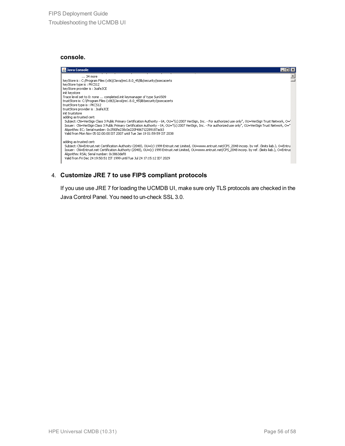#### **console.**



#### 4. **Customize JRE 7 to use FIPS compliant protocols**

If you use use JRE 7 for loading the UCMDB UI, make sure only TLS protocols are checked in the Java Control Panel. You need to un-check SSL 3.0.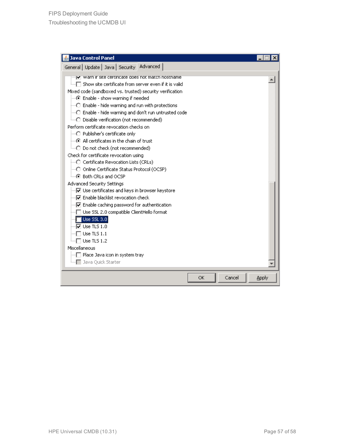| <b>Java Control Panel</b>                                                                                                                                                                                                                                                                                                                                                                                                                                                                                                                                                                                                                                                                                                                                                                                                                                                                                                                                                                                                                                                                                                                                                                                                                                                  |                 |
|----------------------------------------------------------------------------------------------------------------------------------------------------------------------------------------------------------------------------------------------------------------------------------------------------------------------------------------------------------------------------------------------------------------------------------------------------------------------------------------------------------------------------------------------------------------------------------------------------------------------------------------------------------------------------------------------------------------------------------------------------------------------------------------------------------------------------------------------------------------------------------------------------------------------------------------------------------------------------------------------------------------------------------------------------------------------------------------------------------------------------------------------------------------------------------------------------------------------------------------------------------------------------|-----------------|
| General   Update   Java   Security   Advanced                                                                                                                                                                                                                                                                                                                                                                                                                                                                                                                                                                                                                                                                                                                                                                                                                                                                                                                                                                                                                                                                                                                                                                                                                              |                 |
| V   warn ir site certiricate does not match nostname<br>்∏ Show site certificate from server even if it is valid<br>Mixed code (sandboxed vs. trusted) security verification<br>⊙ Enable - show warning if needed<br>○ Enable - hide warning and run with protections<br>$\stackrel{\scriptstyle \textrm{[}}{\scriptstyle \cdots\cap\ }\raisebox{1[1pt]{1[1pt]{.1.1em} \times}}$ Enable - hide warning and don't run untrusted code<br>Perform certificate revocation checks on<br>- C Publisher's certificate only<br>$\left\langle \cdot\right\rangle$ All certificates in the chain of trust.<br><sub>i</sub> ○ Do not check (not recommended)<br>Check for certificate revocation using<br>j…○ Certificate Revocation Lists (CRLs)<br>├─○ Online Certificate Status Protocol (OCSP)<br>$\leftarrow$ $\odot$ Both CRLs and OCSP<br><b>Advanced Security Settings</b><br>♡ Use certificates and keys in browser keystore<br>i…∏⊽ Enable blacklist revocation check.<br>… v Enable caching password for authentication<br>∏ Use SSL 2.0 compatible ClientHello format<br>$\blacksquare$ Use SSL 3.0<br>$\sqrt{2}$ Use TLS 1.0<br>$\overline{\rule{0pt}{6pt}}$ Use TLS 1.1<br>Use TLS 1.2<br>Miscellaneous<br>□ Place Java icon in system tray :<br>i   Java Quick Starter |                 |
| OK                                                                                                                                                                                                                                                                                                                                                                                                                                                                                                                                                                                                                                                                                                                                                                                                                                                                                                                                                                                                                                                                                                                                                                                                                                                                         | Cancel<br>Apply |